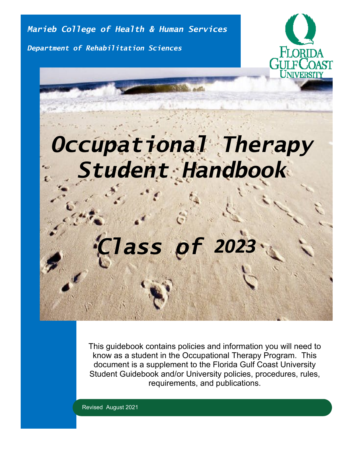*Marieb College of Health & Human Services*

*Department of Rehabilitation Sciences*



# *Occupational Therapy Student Handbook*

# *Class of 2023*

This guidebook contains policies and information you will need to know as a student in the Occupational Therapy Program. This document is a supplement to the Florida Gulf Coast University Student Guidebook and/or University policies, procedures, rules, requirements, and publications.

Revised August 2021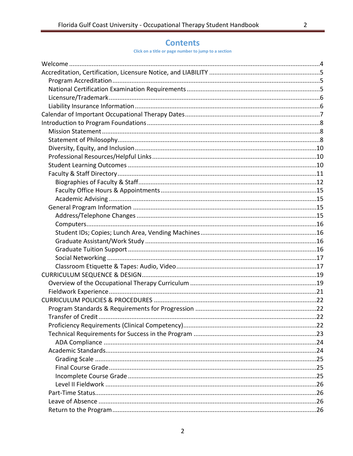$\overline{2}$ 

# **Contents**

Click on a title or page number to jump to a section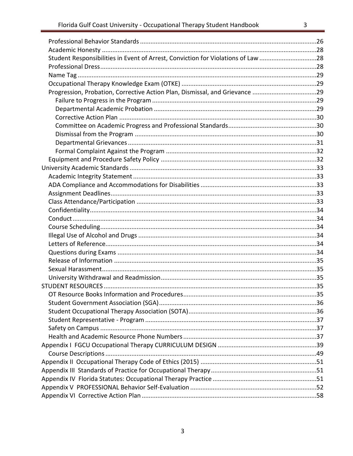| Student Responsibilities in Event of Arrest, Conviction for Violations of Law 28 |    |
|----------------------------------------------------------------------------------|----|
|                                                                                  |    |
|                                                                                  |    |
|                                                                                  |    |
| Progression, Probation, Corrective Action Plan, Dismissal, and Grievance 29      |    |
|                                                                                  |    |
|                                                                                  |    |
|                                                                                  |    |
|                                                                                  |    |
|                                                                                  |    |
|                                                                                  |    |
|                                                                                  |    |
|                                                                                  |    |
|                                                                                  |    |
|                                                                                  |    |
|                                                                                  |    |
|                                                                                  |    |
|                                                                                  |    |
|                                                                                  |    |
|                                                                                  |    |
|                                                                                  |    |
|                                                                                  |    |
|                                                                                  |    |
|                                                                                  |    |
|                                                                                  |    |
|                                                                                  |    |
|                                                                                  |    |
|                                                                                  |    |
| OT Resource Books Information and Procedures                                     | 35 |
|                                                                                  |    |
|                                                                                  |    |
|                                                                                  |    |
|                                                                                  |    |
|                                                                                  |    |
|                                                                                  |    |
|                                                                                  |    |
|                                                                                  |    |
|                                                                                  |    |
|                                                                                  |    |
|                                                                                  |    |
|                                                                                  |    |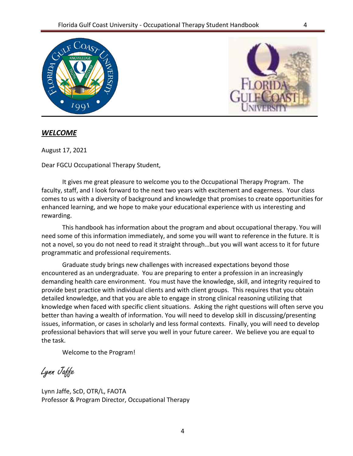



## <span id="page-3-0"></span>*WELCOME*

August 17, 2021

Dear FGCU Occupational Therapy Student,

It gives me great pleasure to welcome you to the Occupational Therapy Program. The faculty, staff, and I look forward to the next two years with excitement and eagerness. Your class comes to us with a diversity of background and knowledge that promises to create opportunities for enhanced learning, and we hope to make your educational experience with us interesting and rewarding.

This handbook has information about the program and about occupational therapy. You will need some of this information immediately, and some you will want to reference in the future. It is not a novel, so you do not need to read it straight through…but you will want access to it for future programmatic and professional requirements.

Graduate study brings new challenges with increased expectations beyond those encountered as an undergraduate. You are preparing to enter a profession in an increasingly demanding health care environment. You must have the knowledge, skill, and integrity required to provide best practice with individual clients and with client groups. This requires that you obtain detailed knowledge, and that you are able to engage in strong clinical reasoning utilizing that knowledge when faced with specific client situations. Asking the right questions will often serve you better than having a wealth of information. You will need to develop skill in discussing/presenting issues, information, or cases in scholarly and less formal contexts. Finally, you will need to develop professional behaviors that will serve you well in your future career. We believe you are equal to the task.

Welcome to the Program!

Lynn Jaffe

Lynn Jaffe, ScD, OTR/L, FAOTA Professor & Program Director, Occupational Therapy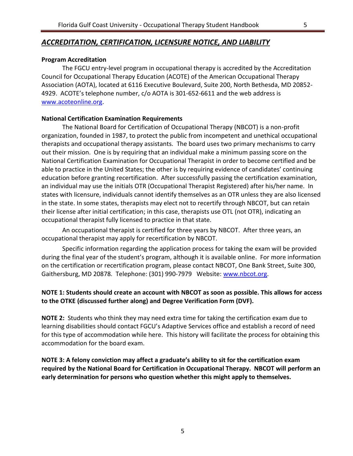## <span id="page-4-0"></span>*ACCREDITATION, CERTIFICATION, LICENSURE NOTICE, AND LIABILITY*

## <span id="page-4-1"></span>**Program Accreditation**

The FGCU entry-level program in occupational therapy is accredited by the Accreditation Council for Occupational Therapy Education (ACOTE) of the American Occupational Therapy Association (AOTA), located at 6116 Executive Boulevard, Suite 200, North Bethesda, MD 20852- 4929. ACOTE's telephone number, c/o AOTA is 301-652-6611 and the web address is [www.acoteonline.org.](http://www.acoteonline.org/)

## <span id="page-4-2"></span>**National Certification Examination Requirements**

The National Board for Certification of Occupational Therapy (NBCOT) is a non-profit organization, founded in 1987, to protect the public from incompetent and unethical occupational therapists and occupational therapy assistants. The board uses two primary mechanisms to carry out their mission. One is by requiring that an individual make a minimum passing score on the National Certification Examination for Occupational Therapist in order to become certified and be able to practice in the United States; the other is by requiring evidence of candidates' continuing education before granting recertification. After successfully passing the certification examination, an individual may use the initials OTR (Occupational Therapist Registered) after his/her name. In states with licensure, individuals cannot identify themselves as an OTR unless they are also licensed in the state. In some states, therapists may elect not to recertify through NBCOT, but can retain their license after initial certification; in this case, therapists use OTL (not OTR), indicating an occupational therapist fully licensed to practice in that state.

An occupational therapist is certified for three years by NBCOT. After three years, an occupational therapist may apply for recertification by NBCOT.

Specific information regarding the application process for taking the exam will be provided during the final year of the student's program, although it is available online. For more information on the certification or recertification program, please contact NBCOT, One Bank Street, Suite 300, Gaithersburg, MD 20878. Telephone: (301) 990-7979 Website: [www.nbcot.org.](http://www.nbcot.org/)

## **NOTE 1: Students should create an account with NBCOT as soon as possible. This allows for access to the OTKE (discussed further along) and Degree Verification Form (DVF).**

**NOTE 2:** Students who think they may need extra time for taking the certification exam due to learning disabilities should contact FGCU's Adaptive Services office and establish a record of need for this type of accommodation while here. This history will facilitate the process for obtaining this accommodation for the board exam.

**NOTE 3: A felony conviction may affect a graduate's ability to sit for the certification exam required by the National Board for Certification in Occupational Therapy. NBCOT will perform an early determination for persons who question whether this might apply to themselves.**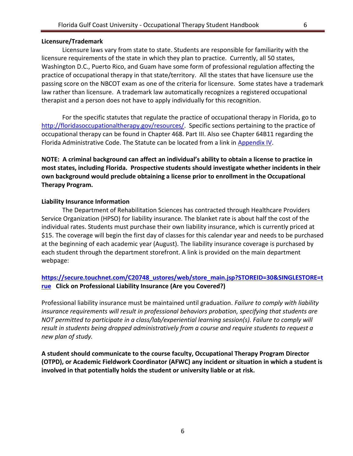## <span id="page-5-0"></span>**Licensure/Trademark**

Licensure laws vary from state to state. Students are responsible for familiarity with the licensure requirements of the state in which they plan to practice. Currently, all 50 states, Washington D.C., Puerto Rico, and Guam have some form of professional regulation affecting the practice of occupational therapy in that state/territory. All the states that have licensure use the passing score on the NBCOT exam as one of the criteria for licensure. Some states have a trademark law rather than licensure. A trademark law automatically recognizes a registered occupational therapist and a person does not have to apply individually for this recognition.

For the specific statutes that regulate the practice of occupational therapy in Florida, go to [http://floridasoccupationaltherapy.gov/resources/.](http://floridasoccupationaltherapy.gov/resources/) Specific sections pertaining to the practice of occupational therapy can be found in Chapter 468. Part III. Also see Chapter 64B11 regarding the Florida Administrative Code. The Statute can be located from a link in [Appendix](#page-50-2) IV.

**NOTE: A criminal background can affect an individual's ability to obtain a license to practice in most states, including Florida. Prospective students should investigate whether incidents in their own background would preclude obtaining a license prior to enrollment in the Occupational Therapy Program.**

## <span id="page-5-1"></span>**Liability Insurance Information**

The Department of Rehabilitation Sciences has contracted through Healthcare Providers Service Organization (HPSO) for liability insurance. The blanket rate is about half the cost of the individual rates. Students must purchase their own liability insurance, which is currently priced at \$15. The coverage will begin the first day of classes for this calendar year and needs to be purchased at the beginning of each academic year (August). The liability insurance coverage is purchased by each student through the department storefront. A link is provided on the main department webpage:

## **[https://secure.touchnet.com/C20748\\_ustores/web/store\\_main.jsp?STOREID=30&SINGLESTORE=t](https://secure.touchnet.com/C20748_ustores/web/store_main.jsp?STOREID=30&SINGLESTORE=true) [rue](https://secure.touchnet.com/C20748_ustores/web/store_main.jsp?STOREID=30&SINGLESTORE=true) Click on Professional Liability Insurance (Are you Covered?)**

Professional liability insurance must be maintained until graduation. *Failure to comply with liability insurance requirements will result in professional behaviors probation, specifying that students are NOT permitted to participate in a class/lab/experiential learning session(s). Failure to comply will result in students being dropped administratively from a course and require students to request a new plan of study.* 

**A student should communicate to the course faculty, Occupational Therapy Program Director (OTPD), or Academic Fieldwork Coordinator (AFWC) any incident or situation in which a student is involved in that potentially holds the student or university liable or at risk.**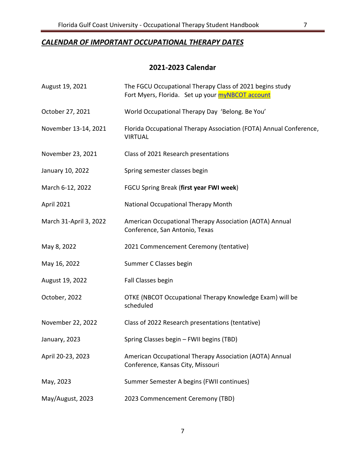# <span id="page-6-0"></span>*CALENDAR OF IMPORTANT OCCUPATIONAL THERAPY DATES*

# **2021-2023 Calendar**

| August 19, 2021        | The FGCU Occupational Therapy Class of 2021 begins study<br>Fort Myers, Florida. Set up your <b>myNBCOT</b> account |
|------------------------|---------------------------------------------------------------------------------------------------------------------|
| October 27, 2021       | World Occupational Therapy Day 'Belong. Be You'                                                                     |
| November 13-14, 2021   | Florida Occupational Therapy Association (FOTA) Annual Conference,<br><b>VIRTUAL</b>                                |
| November 23, 2021      | Class of 2021 Research presentations                                                                                |
| January 10, 2022       | Spring semester classes begin                                                                                       |
| March 6-12, 2022       | FGCU Spring Break (first year FWI week)                                                                             |
| April 2021             | <b>National Occupational Therapy Month</b>                                                                          |
| March 31-April 3, 2022 | American Occupational Therapy Association (AOTA) Annual<br>Conference, San Antonio, Texas                           |
| May 8, 2022            | 2021 Commencement Ceremony (tentative)                                                                              |
| May 16, 2022           | Summer C Classes begin                                                                                              |
| August 19, 2022        | Fall Classes begin                                                                                                  |
| October, 2022          | OTKE (NBCOT Occupational Therapy Knowledge Exam) will be<br>scheduled                                               |
| November 22, 2022      | Class of 2022 Research presentations (tentative)                                                                    |
| January, 2023          | Spring Classes begin - FWII begins (TBD)                                                                            |
| April 20-23, 2023      | American Occupational Therapy Association (AOTA) Annual<br>Conference, Kansas City, Missouri                        |
| May, 2023              | Summer Semester A begins (FWII continues)                                                                           |
| May/August, 2023       | 2023 Commencement Ceremony (TBD)                                                                                    |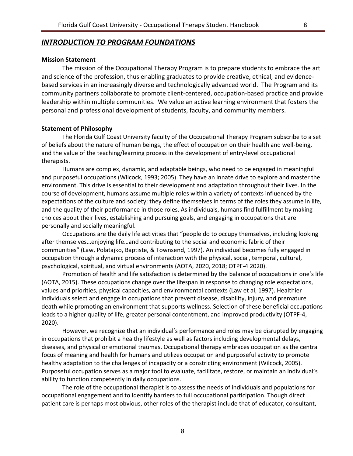# <span id="page-7-0"></span>*INTRODUCTION TO PROGRAM FOUNDATIONS*

#### <span id="page-7-1"></span>**Mission Statement**

The mission of the Occupational Therapy Program is to prepare students to embrace the art and science of the profession, thus enabling graduates to provide creative, ethical, and evidencebased services in an increasingly diverse and technologically advanced world. The Program and its community partners collaborate to promote client-centered, occupation-based practice and provide leadership within multiple communities. We value an active learning environment that fosters the personal and professional development of students, faculty, and community members.

#### <span id="page-7-2"></span>**Statement of Philosophy**

The Florida Gulf Coast University faculty of the Occupational Therapy Program subscribe to a set of beliefs about the nature of human beings, the effect of occupation on their health and well-being, and the value of the teaching/learning process in the development of entry-level occupational therapists.

Humans are complex, dynamic, and adaptable beings, who need to be engaged in meaningful and purposeful occupations (Wilcock, 1993; 2005). They have an innate drive to explore and master the environment. This drive is essential to their development and adaptation throughout their lives. In the course of development, humans assume multiple roles within a variety of contexts influenced by the expectations of the culture and society; they define themselves in terms of the roles they assume in life, and the quality of their performance in those roles. As individuals, humans find fulfillment by making choices about their lives, establishing and pursuing goals, and engaging in occupations that are personally and socially meaningful.

Occupations are the daily life activities that "people do to occupy themselves, including looking after themselves…enjoying life…and contributing to the social and economic fabric of their communities" (Law, Polatajko, Baptiste, & Townsend, 1997). An individual becomes fully engaged in occupation through a dynamic process of interaction with the physical, social, temporal, cultural, psychological, spiritual, and virtual environments (AOTA, 2020, 2018; OTPF-4 2020).

Promotion of health and life satisfaction is determined by the balance of occupations in one's life (AOTA, 2015). These occupations change over the lifespan in response to changing role expectations, values and priorities, physical capacities, and environmental contexts (Law et al, 1997). Healthier individuals select and engage in occupations that prevent disease, disability, injury, and premature death while promoting an environment that supports wellness. Selection of these beneficial occupations leads to a higher quality of life, greater personal contentment, and improved productivity (OTPF-4, 2020).

However, we recognize that an individual's performance and roles may be disrupted by engaging in occupations that prohibit a healthy lifestyle as well as factors including developmental delays, diseases, and physical or emotional traumas. Occupational therapy embraces occupation as the central focus of meaning and health for humans and utilizes occupation and purposeful activity to promote healthy adaptation to the challenges of incapacity or a constricting environment (Wilcock, 2005). Purposeful occupation serves as a major tool to evaluate, facilitate, restore, or maintain an individual's ability to function competently in daily occupations.

The role of the occupational therapist is to assess the needs of individuals and populations for occupational engagement and to identify barriers to full occupational participation. Though direct patient care is perhaps most obvious, other roles of the therapist include that of educator, consultant,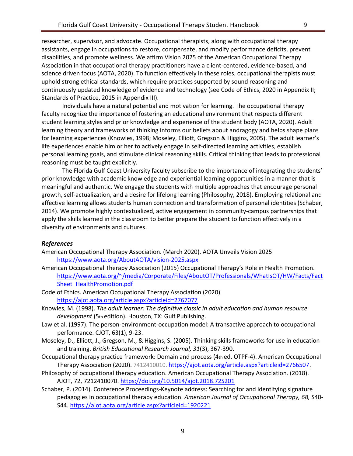researcher, supervisor, and advocate. Occupational therapists, along with occupational therapy assistants, engage in occupations to restore, compensate, and modify performance deficits, prevent disabilities, and promote wellness. We affirm Vision 2025 of the American Occupational Therapy Association in that occupational therapy practitioners have a client-centered, evidence-based, and science driven focus (AOTA, 2020). To function effectively in these roles, occupational therapists must uphold strong ethical standards, which require practices supported by sound reasoning and continuously updated knowledge of evidence and technology (see Code of Ethics, 2020 in Appendix II; Standards of Practice, 2015 in Appendix III).

Individuals have a natural potential and motivation for learning. The occupational therapy faculty recognize the importance of fostering an educational environment that respects different student learning styles and prior knowledge and experience of the student body (AOTA, 2020). Adult learning theory and frameworks of thinking informs our beliefs about andragogy and helps shape plans for learning experiences (Knowles, 1998; Moseley, Elliott, Gregson & Higgins, 2005). The adult learner's life experiences enable him or her to actively engage in self-directed learning activities, establish personal learning goals, and stimulate clinical reasoning skills. Critical thinking that leads to professional reasoning must be taught explicitly.

The Florida Gulf Coast University faculty subscribe to the importance of integrating the students' prior knowledge with academic knowledge and experiential learning opportunities in a manner that is meaningful and authentic. We engage the students with multiple approaches that encourage personal growth, self-actualization, and a desire for lifelong learning (Philosophy, 2018). Employing relational and affective learning allows students human connection and transformation of personal identities (Schaber, 2014). We promote highly contextualized, active engagement in community-campus partnerships that apply the skills learned in the classroom to better prepare the student to function effectively in a diversity of environments and cultures.

#### *References*

- American Occupational Therapy Association. (March 2020). AOTA Unveils Vision 2025 <https://www.aota.org/AboutAOTA/vision-2025.aspx>
- American Occupational Therapy Association (2015) Occupational Therapy's Role in Health Promotion. [https://www.aota.org/~/media/Corporate/Files/AboutOT/Professionals/WhatIsOT/HW/Facts/Fact](https://www.aota.org/~/media/Corporate/Files/AboutOT/Professionals/WhatIsOT/HW/Facts/FactSheet_HealthPromotion.pdf) [Sheet\\_HealthPromotion.pdf](https://www.aota.org/~/media/Corporate/Files/AboutOT/Professionals/WhatIsOT/HW/Facts/FactSheet_HealthPromotion.pdf)
- Code of Ethics. American Occupational Therapy Association (2020) <https://ajot.aota.org/article.aspx?articleid=2767077>
- Knowles, M. (1998). *The adult learner: The definitive classic in adult education and human resource development* (5th edition). Houston, TX: Gulf Publishing.
- Law et al. (1997). The person-environment-occupation model: A transactive approach to occupational performance. CJOT, 63(1), 9-23.
- Moseley, D., Elliott, J., Gregson, M., & Higgins, S. (2005). Thinking skills frameworks for use in education and training. *British Educational Research Journal, 31*(3), 367-390.
- Occupational therapy practice framework: Domain and process (4th ed, OTPF-4). American Occupational Therapy Association (2020). 7412410010. [https://ajot.aota.org/article.aspx?articleid=2766507.](https://ajot.aota.org/article.aspx?articleid=2766507)
- Philosophy of occupational therapy education. American Occupational Therapy Association. (2018). AJOT, 72, 7212410070. <https://doi.org/10.5014/ajot.2018.72S201>
- Schaber, P. (2014). Conference Proceedings-Keynote address: Searching for and identifying signature pedagogies in occupational therapy education. *American Journal of Occupational Therapy, 68,* S40- S44.<https://ajot.aota.org/article.aspx?articleid=1920221>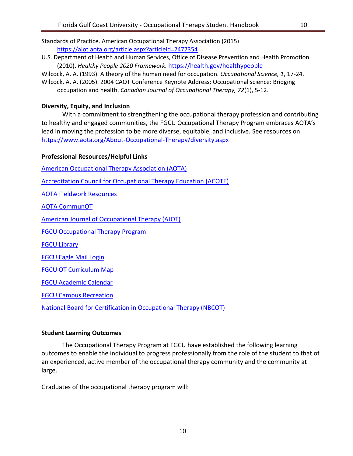Standards of Practice. American Occupational Therapy Association (2015) <https://ajot.aota.org/article.aspx?articleid=2477354>

- U.S. Department of Health and Human Services, Office of Disease Prevention and Health Promotion. (2010). *Healthy People 2020 Framework.* <https://health.gov/healthypeople>
- Wilcock, A. A. (1993). A theory of the human need for occupation. *Occupational Science, 1*, 17-24.

Wilcock, A. A. (2005). 2004 CAOT Conference Keynote Address: Occupational science: Bridging occupation and health. *Canadian Journal of Occupational Therapy, 72*(1), 5-12.

## <span id="page-9-0"></span>**Diversity, Equity, and Inclusion**

With a commitment to strengthening the occupational therapy profession and contributing to healthy and engaged communities, the FGCU Occupational Therapy Program embraces AOTA's lead in moving the profession to be more diverse, equitable, and inclusive. See resources on <https://www.aota.org/About-Occupational-Therapy/diversity.aspx>

## <span id="page-9-1"></span>**Professional Resources/Helpful Links**

[American Occupational Therapy Association \(AOTA\)](https://www.aota.org/)

[Accreditation Council for Occupational Therapy Education \(ACOTE\)](https://www.aota.org/Education-Careers/Accreditation.aspx)

[AOTA Fieldwork Resources](https://www.aota.org/Education-Careers/Fieldwork.aspx)

[AOTA CommunOT](https://communot.aota.org/home)

[American Journal of Occupational Therapy \(AJOT\)](http://ajot.aota.org/)

[FGCU Occupational Therapy Program](http://www.fgcu.edu/mariebcollege/RS/OTMS/)

[FGCU Library](http://library.fgcu.edu/) 

[FGCU Eagle Mail Login](https://www.fgcu.edu/email/index.aspx)

[FGCU OT Curriculum Map](https://www2.fgcu.edu/mariebcollege/RS/OTMS/curriculum.asp)

[FGCU Academic Calendar](http://www.fgcu.edu/Registrar/academiccalendar.asp) 

[FGCU Campus Recreation](http://www.fgcu.edu/CampusRec/)

[National Board for Certification in Occupational Therapy \(NBCOT\)](https://www.nbcot.org/)

## <span id="page-9-2"></span>**Student Learning Outcomes**

The Occupational Therapy Program at FGCU have established the following learning outcomes to enable the individual to progress professionally from the role of the student to that of an experienced, active member of the occupational therapy community and the community at large.

Graduates of the occupational therapy program will: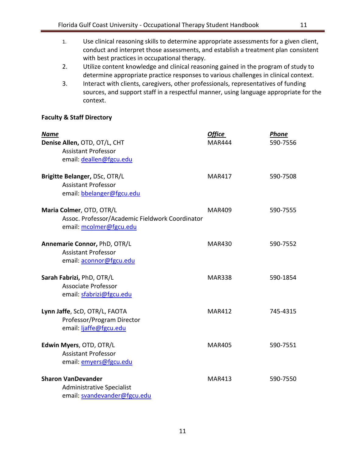- 1. Use clinical reasoning skills to determine appropriate assessments for a given client, conduct and interpret those assessments, and establish a treatment plan consistent with best practices in occupational therapy.
- 2. Utilize content knowledge and clinical reasoning gained in the program of study to determine appropriate practice responses to various challenges in clinical context.
- 3. Interact with clients, caregivers, other professionals, representatives of funding sources, and support staff in a respectful manner, using language appropriate for the context.

## <span id="page-10-0"></span>**Faculty & Staff Directory**

| <b>Name</b><br>Denise Allen, OTD, OT/L, CHT<br><b>Assistant Professor</b><br>email: deallen@fgcu.edu   | <b>Office</b><br><b>MAR444</b> | Phone<br>590-7556 |
|--------------------------------------------------------------------------------------------------------|--------------------------------|-------------------|
| Brigitte Belanger, DSc, OTR/L<br><b>Assistant Professor</b><br>email: bbelanger@fgcu.edu               | <b>MAR417</b>                  | 590-7508          |
| Maria Colmer, OTD, OTR/L<br>Assoc. Professor/Academic Fieldwork Coordinator<br>email: mcolmer@fgcu.edu | <b>MAR409</b>                  | 590-7555          |
| Annemarie Connor, PhD, OTR/L<br><b>Assistant Professor</b><br>email: aconnor@fgcu.edu                  | <b>MAR430</b>                  | 590-7552          |
| Sarah Fabrizi, PhD, OTR/L<br><b>Associate Professor</b><br>email: sfabrizi@fgcu.edu                    | <b>MAR338</b>                  | 590-1854          |
| Lynn Jaffe, ScD, OTR/L, FAOTA<br>Professor/Program Director<br>email: ljaffe@fgcu.edu                  | <b>MAR412</b>                  | 745-4315          |
| Edwin Myers, OTD, OTR/L<br><b>Assistant Professor</b><br>email: emyers@fgcu.edu                        | <b>MAR405</b>                  | 590-7551          |
| <b>Sharon VanDevander</b><br><b>Administrative Specialist</b><br>email: svandevander@fgcu.edu          | <b>MAR413</b>                  | 590-7550          |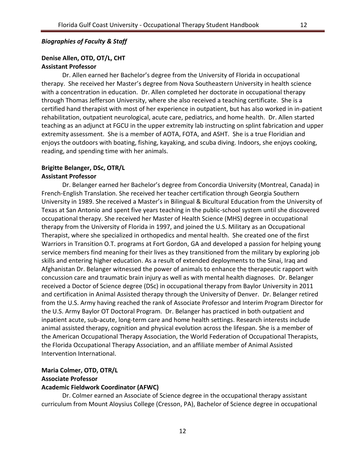#### <span id="page-11-0"></span>*Biographies of Faculty & Staff*

## **Denise Allen, OTD, OT/L, CHT**

### **Assistant Professor**

Dr. Allen earned her Bachelor's degree from the University of Florida in occupational therapy. She received her Master's degree from Nova Southeastern University in health science with a concentration in education. Dr. Allen completed her doctorate in occupational therapy through Thomas Jefferson University, where she also received a teaching certificate. She is a certified hand therapist with most of her experience in outpatient, but has also worked in in-patient rehabilitation, outpatient neurological, acute care, pediatrics, and home health. Dr. Allen started teaching as an adjunct at FGCU in the upper extremity lab instructing on splint fabrication and upper extremity assessment. She is a member of AOTA, FOTA, and ASHT. She is a true Floridian and enjoys the outdoors with boating, fishing, kayaking, and scuba diving. Indoors, she enjoys cooking, reading, and spending time with her animals.

## **Brigitte Belanger, DSc, OTR/L**

#### **Assistant Professor**

Dr. Belanger earned her Bachelor's degree from Concordia University (Montreal, Canada) in French-English Translation. She received her teacher certification through Georgia Southern University in 1989. She received a Master's in Bilingual & Bicultural Education from the University of Texas at San Antonio and spent five years teaching in the public-school system until she discovered occupational therapy. She received her Master of Health Science (MHS) degree in occupational therapy from the University of Florida in 1997, and joined the U.S. Military as an Occupational Therapist, where she specialized in orthopedics and mental health. She created one of the first Warriors in Transition O.T. programs at Fort Gordon, GA and developed a passion for helping young service members find meaning for their lives as they transitioned from the military by exploring job skills and entering higher education. As a result of extended deployments to the Sinai, Iraq and Afghanistan Dr. Belanger witnessed the power of animals to enhance the therapeutic rapport with concussion care and traumatic brain injury as well as with mental health diagnoses. Dr. Belanger received a Doctor of Science degree (DSc) in occupational therapy from Baylor University in 2011 and certification in Animal Assisted therapy through the University of Denver. Dr. Belanger retired from the U.S. Army having reached the rank of Associate Professor and Interim Program Director for the U.S. Army Baylor OT Doctoral Program. Dr. Belanger has practiced in both outpatient and inpatient acute, sub-acute, long-term care and home health settings. Research interests include animal assisted therapy, cognition and physical evolution across the lifespan. She is a member of the American Occupational Therapy Association, the World Federation of Occupational Therapists, the Florida Occupational Therapy Association, and an affiliate member of Animal Assisted Intervention International.

# **Maria Colmer, OTD, OTR/L Associate Professor**

## **Academic Fieldwork Coordinator (AFWC)**

Dr. Colmer earned an Associate of Science degree in the occupational therapy assistant curriculum from Mount Aloysius College (Cresson, PA), Bachelor of Science degree in occupational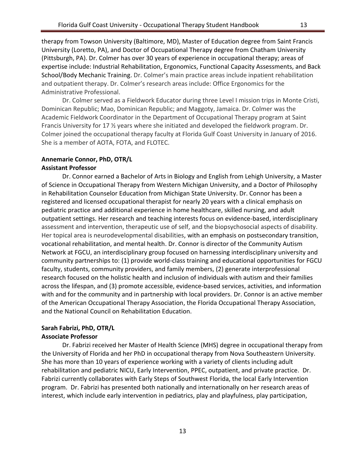therapy from Towson University (Baltimore, MD), Master of Education degree from Saint Francis University (Loretto, PA), and Doctor of Occupational Therapy degree from Chatham University (Pittsburgh, PA). Dr. Colmer has over 30 years of experience in occupational therapy; areas of expertise include: Industrial Rehabilitation, Ergonomics, Functional Capacity Assessments, and Back School/Body Mechanic Training. Dr. Colmer's main practice areas include inpatient rehabilitation and outpatient therapy. Dr. Colmer's research areas include: Office Ergonomics for the Administrative Professional.

Dr. Colmer served as a Fieldwork Educator during three Level I mission trips in Monte Cristi, Dominican Republic; Mao, Dominican Republic; and Maggoty, Jamaica. Dr. Colmer was the Academic Fieldwork Coordinator in the Department of Occupational Therapy program at Saint Francis University for 17 ½ years where she initiated and developed the fieldwork program. Dr. Colmer joined the occupational therapy faculty at Florida Gulf Coast University in January of 2016. She is a member of AOTA, FOTA, and FLOTEC.

# **Annemarie Connor, PhD, OTR/L**

## **Assistant Professor**

Dr. Connor earned a Bachelor of Arts in Biology and English from Lehigh University, a Master of Science in Occupational Therapy from Western Michigan University, and a Doctor of Philosophy in Rehabilitation Counselor Education from Michigan State University. Dr. Connor has been a registered and licensed occupational therapist for nearly 20 years with a clinical emphasis on pediatric practice and additional experience in home healthcare, skilled nursing, and adult outpatient settings. Her research and teaching interests focus on evidence-based, interdisciplinary assessment and intervention, therapeutic use of self, and the biopsychosocial aspects of disability. Her topical area is neurodevelopmental disabilities, with an emphasis on postsecondary transition, vocational rehabilitation, and mental health. Dr. Connor is director of the Community Autism Network at FGCU, an interdisciplinary group focused on harnessing interdisciplinary university and community partnerships to: (1) provide world-class training and educational opportunities for FGCU faculty, students, community providers, and family members, (2) generate interprofessional research focused on the holistic health and inclusion of individuals with autism and their families across the lifespan, and (3) promote accessible, evidence-based services, activities, and information with and for the community and in partnership with local providers. Dr. Connor is an active member of the American Occupational Therapy Association, the Florida Occupational Therapy Association, and the National Council on Rehabilitation Education.

# **Sarah Fabrizi, PhD, OTR/L**

## **Associate Professor**

Dr. Fabrizi received her Master of Health Science (MHS) degree in occupational therapy from the University of Florida and her PhD in occupational therapy from Nova Southeastern University. She has more than 10 years of experience working with a variety of clients including adult rehabilitation and pediatric NICU, Early Intervention, PPEC, outpatient, and private practice. Dr. Fabrizi currently collaborates with Early Steps of Southwest Florida, the local Early Intervention program. Dr. Fabrizi has presented both nationally and internationally on her research areas of interest, which include early intervention in pediatrics, play and playfulness, play participation,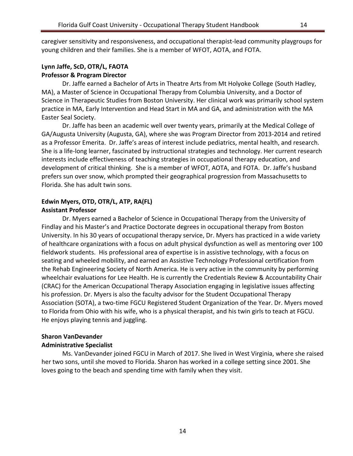caregiver sensitivity and responsiveness, and occupational therapist-lead community playgroups for young children and their families. She is a member of WFOT, AOTA, and FOTA.

## **Lynn Jaffe, ScD, OTR/L, FAOTA Professor & Program Director**

Dr. Jaffe earned a Bachelor of Arts in Theatre Arts from Mt Holyoke College (South Hadley, MA), a Master of Science in Occupational Therapy from Columbia University, and a Doctor of Science in Therapeutic Studies from Boston University. Her clinical work was primarily school system practice in MA, Early Intervention and Head Start in MA and GA, and administration with the MA Easter Seal Society.

Dr. Jaffe has been an academic well over twenty years, primarily at the Medical College of GA/Augusta University (Augusta, GA), where she was Program Director from 2013-2014 and retired as a Professor Emerita. Dr. Jaffe's areas of interest include pediatrics, mental health, and research. She is a life-long learner, fascinated by instructional strategies and technology. Her current research interests include effectiveness of teaching strategies in occupational therapy education, and development of critical thinking. She is a member of WFOT, AOTA, and FOTA. Dr. Jaffe's husband prefers sun over snow, which prompted their geographical progression from Massachusetts to Florida. She has adult twin sons.

# **Edwin Myers, OTD, OTR/L, ATP, RA(FL)**

## **Assistant Professor**

Dr. Myers earned a Bachelor of Science in Occupational Therapy from the University of Findlay and his Master's and Practice Doctorate degrees in occupational therapy from Boston University. In his 30 years of occupational therapy service, Dr. Myers has practiced in a wide variety of healthcare organizations with a focus on adult physical dysfunction as well as mentoring over 100 fieldwork students. His professional area of expertise is in assistive technology, with a focus on seating and wheeled mobility, and earned an Assistive Technology Professional certification from the Rehab Engineering Society of North America. He is very active in the community by performing wheelchair evaluations for Lee Health. He is currently the Credentials Review & Accountability Chair (CRAC) for the American Occupational Therapy Association engaging in legislative issues affecting his profession. Dr. Myers is also the faculty advisor for the Student Occupational Therapy Association (SOTA), a two-time FGCU Registered Student Organization of the Year. Dr. Myers moved to Florida from Ohio with his wife, who is a physical therapist, and his twin girls to teach at FGCU. He enjoys playing tennis and juggling.

## **Sharon VanDevander**

## **Administrative Specialist**

Ms. VanDevander joined FGCU in March of 2017. She lived in West Virginia, where she raised her two sons, until she moved to Florida. Sharon has worked in a college setting since 2001. She loves going to the beach and spending time with family when they visit.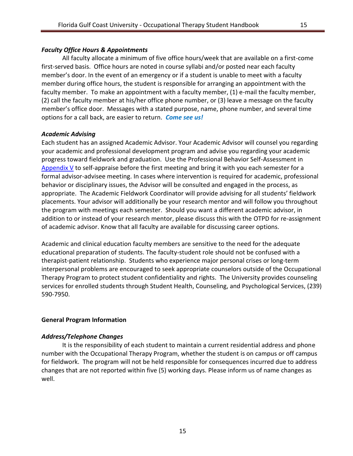## <span id="page-14-0"></span>*Faculty Office Hours & Appointments*

All faculty allocate a minimum of five office hours/week that are available on a first-come first-served basis. Office hours are noted in course syllabi and/or posted near each faculty member's door. In the event of an emergency or if a student is unable to meet with a faculty member during office hours, the student is responsible for arranging an appointment with the faculty member. To make an appointment with a faculty member, (1) e-mail the faculty member, (2) call the faculty member at his/her office phone number, or (3) leave a message on the faculty member's office door. Messages with a stated purpose, name, phone number, and several time options for a call back, are easier to return. *Come see us!*

## <span id="page-14-1"></span>*Academic Advising*

Each student has an assigned Academic Advisor. Your Academic Advisor will counsel you regarding your academic and professional development program and advise you regarding your academic progress toward fieldwork and graduation. Use the Professional Behavior Self-Assessment in [Appendix V](#page-50-3) to self-appraise before the first meeting and bring it with you each semester for a formal advisor-advisee meeting. In cases where intervention is required for academic, professional behavior or disciplinary issues, the Advisor will be consulted and engaged in the process, as appropriate. The Academic Fieldwork Coordinator will provide advising for all students' fieldwork placements. Your advisor will additionally be your research mentor and will follow you throughout the program with meetings each semester. Should you want a different academic advisor, in addition to or instead of your research mentor, please discuss this with the OTPD for re-assignment of academic advisor. Know that all faculty are available for discussing career options.

Academic and clinical education faculty members are sensitive to the need for the adequate educational preparation of students. The faculty-student role should not be confused with a therapist-patient relationship. Students who experience major personal crises or long-term interpersonal problems are encouraged to seek appropriate counselors outside of the Occupational Therapy Program to protect student confidentiality and rights. The University provides counseling services for enrolled students through Student Health, Counseling, and Psychological Services, (239) 590-7950.

## <span id="page-14-2"></span>**General Program Information**

## <span id="page-14-3"></span>*Address/Telephone Changes*

It is the responsibility of each student to maintain a current residential address and phone number with the Occupational Therapy Program, whether the student is on campus or off campus for fieldwork. The program will not be held responsible for consequences incurred due to address changes that are not reported within five (5) working days. Please inform us of name changes as well.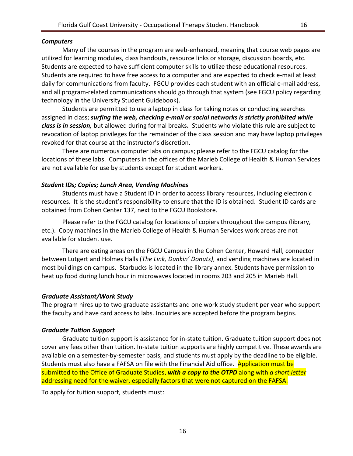## <span id="page-15-0"></span>*Computers*

Many of the courses in the program are web-enhanced, meaning that course web pages are utilized for learning modules, class handouts, resource links or storage, discussion boards, etc. Students are expected to have sufficient computer skills to utilize these educational resources. Students are required to have free access to a computer and are expected to check e-mail at least daily for communications from faculty. FGCU provides each student with an official e-mail address, and all program-related communications should go through that system (see FGCU policy regarding technology in the University Student Guidebook).

Students are permitted to use a laptop in class for taking notes or conducting searches assigned in class; *surfing the web, checking e-mail or social networks is strictly prohibited while class is in session,* but allowed during formal breaks**.** Students who violate this rule are subject to revocation of laptop privileges for the remainder of the class session and may have laptop privileges revoked for that course at the instructor's discretion.

There are numerous computer labs on campus; please refer to the FGCU catalog for the locations of these labs. Computers in the offices of the Marieb College of Health & Human Services are not available for use by students except for student workers.

## <span id="page-15-1"></span>*Student IDs; Copies; Lunch Area, Vending Machines*

Students must have a Student ID in order to access library resources, including electronic resources. It is the student's responsibility to ensure that the ID is obtained. Student ID cards are obtained from Cohen Center 137, next to the FGCU Bookstore.

Please refer to the FGCU catalog for locations of copiers throughout the campus (library, etc.). Copy machines in the Marieb College of Health & Human Services work areas are not available for student use.

There are eating areas on the FGCU Campus in the Cohen Center, Howard Hall, connector between Lutgert and Holmes Halls (*The Link, Dunkin' Donuts)*, and vending machines are located in most buildings on campus. Starbucks is located in the library annex. Students have permission to heat up food during lunch hour in microwaves located in rooms 203 and 205 in Marieb Hall.

## <span id="page-15-2"></span>*Graduate Assistant/Work Study*

The program hires up to two graduate assistants and one work study student per year who support the faculty and have card access to labs. Inquiries are accepted before the program begins.

## <span id="page-15-3"></span>*Graduate Tuition Support*

Graduate tuition support is assistance for in-state tuition. Graduate tuition support does not cover any fees other than tuition. In-state tuition supports are highly competitive. These awards are available on a semester-by-semester basis, and students must apply by the deadline to be eligible. Students must also have a FAFSA on file with the Financial Aid office. Application must be submitted to the Office of Graduate Studies, *with a copy to the OTPD* along with *a short letter*  addressing need for the waiver, especially factors that were not captured on the FAFSA.

To apply for tuition support, students must: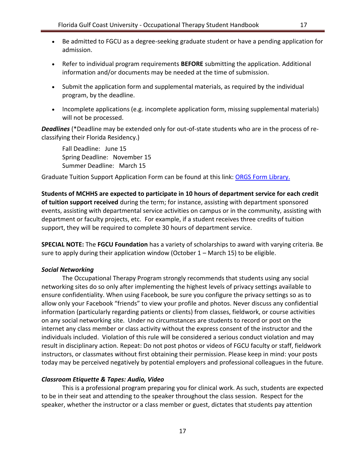- Be admitted to FGCU as a degree-seeking graduate student or have a pending application for admission.
- Refer to individual program requirements **BEFORE** submitting the application. Additional information and/or documents may be needed at the time of submission.
- Submit the application form and supplemental materials, as required by the individual program, by the deadline.
- Incomplete applications (e.g. incomplete application form, missing supplemental materials) will not be processed.

*Deadlines* (\*Deadline may be extended only for out-of-state students who are in the process of reclassifying their Florida Residency.)

Fall Deadline: June 15 Spring Deadline: November 15 Summer Deadline: March 15

Graduate Tuition Support Application Form can be found at this link: [ORGS Form Library.](https://www.fgcu.edu/graduatestudies/financinggradstudies#InStateISGraduateStudentTuitionSupport)

**Students of MCHHS are expected to participate in 10 hours of department service for each credit of tuition support received** during the term; for instance, assisting with department sponsored events, assisting with departmental service activities on campus or in the community, assisting with department or faculty projects, etc. For example, if a student receives three credits of tuition support, they will be required to complete 30 hours of department service.

**SPECIAL NOTE:** The **FGCU Foundation** has a variety of scholarships to award with varying criteria. Be sure to apply during their application window (October 1 – March 15) to be eligible.

## <span id="page-16-0"></span>*Social Networking*

The Occupational Therapy Program strongly recommends that students using any social networking sites do so only after implementing the highest levels of privacy settings available to ensure confidentiality. When using Facebook, be sure you configure the privacy settings so as to allow only your Facebook "friends" to view your profile and photos. Never discuss any confidential information (particularly regarding patients or clients) from classes, fieldwork, or course activities on any social networking site. Under no circumstances are students to record or post on the internet any class member or class activity without the express consent of the instructor and the individuals included. Violation of this rule will be considered a serious conduct violation and may result in disciplinary action. Repeat: Do not post photos or videos of FGCU faculty or staff, fieldwork instructors, or classmates without first obtaining their permission. Please keep in mind: your posts today may be perceived negatively by potential employers and professional colleagues in the future.

## <span id="page-16-1"></span>*Classroom Etiquette & Tapes: Audio, Video*

This is a professional program preparing you for clinical work. As such, students are expected to be in their seat and attending to the speaker throughout the class session. Respect for the speaker, whether the instructor or a class member or guest, dictates that students pay attention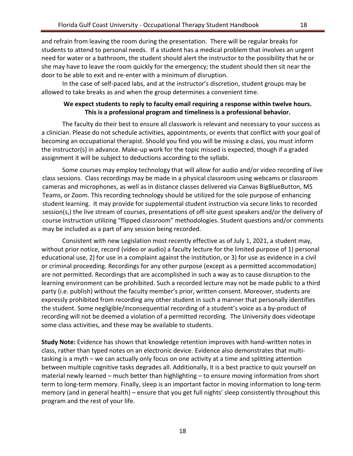and refrain from leaving the room during the presentation. There will be regular breaks for students to attend to personal needs. If a student has a medical problem that involves an urgent need for water or a bathroom, the student should alert the instructor to the possibility that he or she may have to leave the room quickly for the emergency; the student should then sit near the door to be able to exit and re-enter with a minimum of disruption.

In the case of self-paced labs, and at the instructor's discretion, student groups may be allowed to take breaks as and when the group determines a convenient time.

## **We expect students to reply to faculty email requiring a response within twelve hours. This is a professional program and timeliness is a professional behavior.**

The faculty do their best to ensure all classwork is relevant and necessary to your success as a clinician. Please do not schedule activities, appointments, or events that conflict with your goal of becoming an occupational therapist. Should you find you will be missing a class, you must inform the instructor(s) in advance. Make-up work for the topic missed is expected, though if a graded assignment it will be subject to deductions according to the syllabi.

Some courses may employ technology that will allow for audio and/or video recording of live class sessions. Class recordings may be made in a physical classroom using webcams or classroom cameras and microphones, as well as in distance classes delivered via Canvas BigBlueButton, MS Teams, or Zoom. This recording technology should be utilized for the sole purpose of enhancing student learning. It may provide for supplemental student instruction via secure links to recorded session(s,) the live stream of courses, presentations of off-site guest speakers and/or the delivery of course instruction utilizing "flipped classroom" methodologies. Student questions and/or comments may be included as a part of any session being recorded.

Consistent with new Legislation most recently effective as of July 1, 2021, a student may, without prior notice, record (video or audio) a faculty lecture for the limited purpose of 1) personal educational use, 2) for use in a complaint against the institution, or 3) for use as evidence in a civil or criminal proceeding. Recordings for any other purpose (except as a permitted accommodation) are not permitted. Recordings that are accomplished in such a way as to cause disruption to the learning environment can be prohibited. Such a recorded lecture may not be made public to a third party (i.e. publish) without the faculty member's prior, written consent. Moreover, students are expressly prohibited from recording any other student in such a manner that personally identifies the student. Some negligible/inconsequential recording of a student's voice as a by-product of recording will not be deemed a violation of a permitted recording. The University does videotape some class activities, and these may be available to students.

**Study Note:** Evidence has shown that knowledge retention improves with hand-written notes in class, rather than typed notes on an electronic device. Evidence also demonstrates that multitasking is a myth – we can actually only focus on one activity at a time and splitting attention between multiple cognitive tasks degrades all. Additionally, it is a best practice to quiz yourself on material newly learned – much better than highlighting – to ensure moving information from short term to long-term memory. Finally, sleep is an important factor in moving information to long-term memory (and in general health) – ensure that you get full nights' sleep consistently throughout this program and the rest of your life.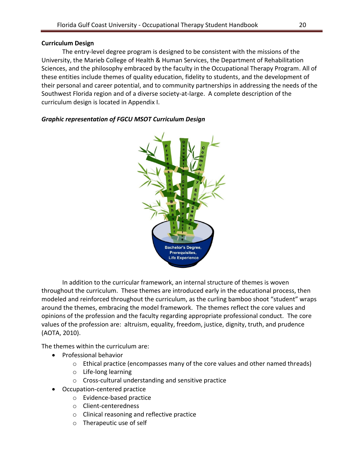## **Curriculum Design**

The entry-level degree program is designed to be consistent with the missions of the University, the Marieb College of Health & Human Services, the Department of Rehabilitation Sciences, and the philosophy embraced by the faculty in the Occupational Therapy Program. All of these entities include themes of quality education, fidelity to students, and the development of their personal and career potential, and to community partnerships in addressing the needs of the Southwest Florida region and of a diverse society-at-large. A complete description of the curriculum design is located in Appendix I.



## *Graphic representation of FGCU MSOT Curriculum Design*

In addition to the curricular framework, an internal structure of themes is woven throughout the curriculum. These themes are introduced early in the educational process, then modeled and reinforced throughout the curriculum, as the curling bamboo shoot "student" wraps around the themes, embracing the model framework. The themes reflect the core values and opinions of the profession and the faculty regarding appropriate professional conduct. The core values of the profession are: altruism, equality, freedom, justice, dignity, truth, and prudence (AOTA, 2010).

The themes within the curriculum are:

- Professional behavior
	- $\circ$  Ethical practice (encompasses many of the core values and other named threads)
	- o Life-long learning
	- o Cross-cultural understanding and sensitive practice
- Occupation-centered practice
	- o Evidence-based practice
	- o Client-centeredness
	- o Clinical reasoning and reflective practice
	- o Therapeutic use of self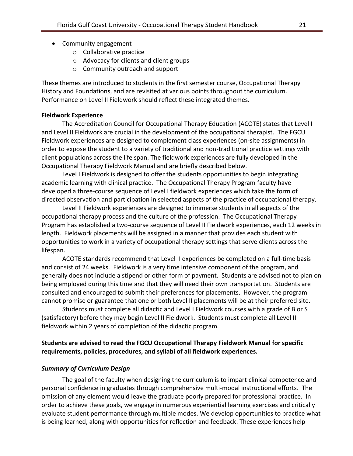- Community engagement
	- o Collaborative practice
	- o Advocacy for clients and client groups
	- o Community outreach and support

These themes are introduced to students in the first semester course, Occupational Therapy History and Foundations, and are revisited at various points throughout the curriculum. Performance on Level II Fieldwork should reflect these integrated themes.

#### <span id="page-20-0"></span>**Fieldwork Experience**

The Accreditation Council for Occupational Therapy Education (ACOTE) states that Level I and Level II Fieldwork are crucial in the development of the occupational therapist. The FGCU Fieldwork experiences are designed to complement class experiences (on-site assignments) in order to expose the student to a variety of traditional and non-traditional practice settings with client populations across the life span. The fieldwork experiences are fully developed in the Occupational Therapy Fieldwork Manual and are briefly described below.

Level I Fieldwork is designed to offer the students opportunities to begin integrating academic learning with clinical practice. The Occupational Therapy Program faculty have developed a three-course sequence of Level I fieldwork experiences which take the form of directed observation and participation in selected aspects of the practice of occupational therapy.

Level II Fieldwork experiences are designed to immerse students in all aspects of the occupational therapy process and the culture of the profession. The Occupational Therapy Program has established a two-course sequence of Level II Fieldwork experiences, each 12 weeks in length. Fieldwork placements will be assigned in a manner that provides each student with opportunities to work in a variety of occupational therapy settings that serve clients across the lifespan.

ACOTE standards recommend that Level II experiences be completed on a full-time basis and consist of 24 weeks. Fieldwork is a very time intensive component of the program, and generally does not include a stipend or other form of payment. Students are advised not to plan on being employed during this time and that they will need their own transportation. Students are consulted and encouraged to submit their preferences for placements. However, the program cannot promise or guarantee that one or both Level II placements will be at their preferred site.

Students must complete all didactic and Level I Fieldwork courses with a grade of B or S (satisfactory) before they may begin Level II Fieldwork. Students must complete all Level II fieldwork within 2 years of completion of the didactic program.

## **Students are advised to read the FGCU Occupational Therapy Fieldwork Manual for specific requirements, policies, procedures, and syllabi of all fieldwork experiences.**

#### *Summary of Curriculum Design*

The goal of the faculty when designing the curriculum is to impart clinical competence and personal confidence in graduates through comprehensive multi-modal instructional efforts. The omission of any element would leave the graduate poorly prepared for professional practice. In order to achieve these goals, we engage in numerous experiential learning exercises and critically evaluate student performance through multiple modes. We develop opportunities to practice what is being learned, along with opportunities for reflection and feedback. These experiences help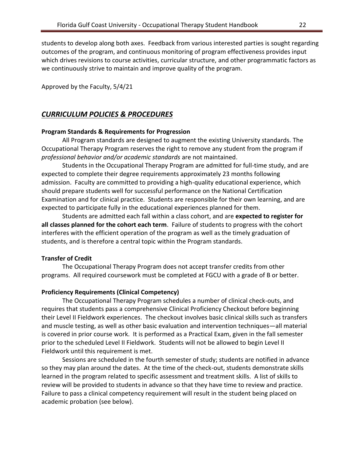students to develop along both axes. Feedback from various interested parties is sought regarding outcomes of the program, and continuous monitoring of program effectiveness provides input which drives revisions to course activities, curricular structure, and other programmatic factors as we continuously strive to maintain and improve quality of the program.

Approved by the Faculty, 5/4/21

## <span id="page-21-0"></span>*CURRICULUM POLICIES & PROCEDURES*

## <span id="page-21-1"></span>**Program Standards & Requirements for Progression**

All Program standards are designed to augment the existing University standards. The Occupational Therapy Program reserves the right to remove any student from the program if *professional behavior and/or academic standards* are not maintained.

Students in the Occupational Therapy Program are admitted for full-time study, and are expected to complete their degree requirements approximately 23 months following admission. Faculty are committed to providing a high-quality educational experience, which should prepare students well for successful performance on the National Certification Examination and for clinical practice. Students are responsible for their own learning, and are expected to participate fully in the educational experiences planned for them.

Students are admitted each fall within a class cohort, and are **expected to register for all classes planned for the cohort each term**. Failure of students to progress with the cohort interferes with the efficient operation of the program as well as the timely graduation of students, and is therefore a central topic within the Program standards.

## <span id="page-21-2"></span>**Transfer of Credit**

The Occupational Therapy Program does not accept transfer credits from other programs. All required coursework must be completed at FGCU with a grade of B or better.

## <span id="page-21-3"></span>**Proficiency Requirements (Clinical Competency)**

The Occupational Therapy Program schedules a number of clinical check-outs, and requires that students pass a comprehensive Clinical Proficiency Checkout before beginning their Level II Fieldwork experiences. The checkout involves basic clinical skills such as transfers and muscle testing, as well as other basic evaluation and intervention techniques—all material is covered in prior course work. It is performed as a Practical Exam, given in the fall semester prior to the scheduled Level II Fieldwork. Students will not be allowed to begin Level II Fieldwork until this requirement is met.

Sessions are scheduled in the fourth semester of study; students are notified in advance so they may plan around the dates. At the time of the check-out, students demonstrate skills learned in the program related to specific assessment and treatment skills. A list of skills to review will be provided to students in advance so that they have time to review and practice. Failure to pass a clinical competency requirement will result in the student being placed on academic probation (see below).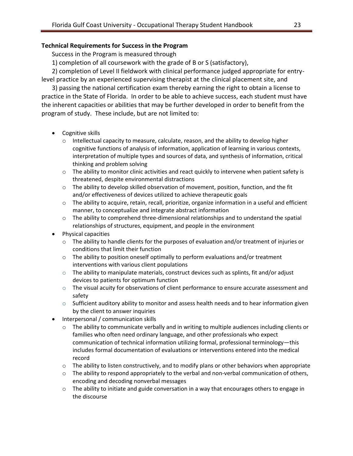## <span id="page-22-0"></span>**Technical Requirements for Success in the Program**

Success in the Program is measured through

1) completion of all coursework with the grade of B or S (satisfactory),

2) completion of Level II fieldwork with clinical performance judged appropriate for entrylevel practice by an experienced supervising therapist at the clinical placement site, and

3) passing the national certification exam thereby earning the right to obtain a license to practice in the State of Florida. In order to be able to achieve success, each student must have the inherent capacities or abilities that may be further developed in order to benefit from the program of study. These include, but are not limited to:

- Cognitive skills
	- $\circ$  Intellectual capacity to measure, calculate, reason, and the ability to develop higher cognitive functions of analysis of information, application of learning in various contexts, interpretation of multiple types and sources of data, and synthesis of information, critical thinking and problem solving
	- $\circ$  The ability to monitor clinic activities and react quickly to intervene when patient safety is threatened, despite environmental distractions
	- $\circ$  The ability to develop skilled observation of movement, position, function, and the fit and/or effectiveness of devices utilized to achieve therapeutic goals
	- o The ability to acquire, retain, recall, prioritize, organize information in a useful and efficient manner, to conceptualize and integrate abstract information
	- o The ability to comprehend three-dimensional relationships and to understand the spatial relationships of structures, equipment, and people in the environment
- Physical capacities
	- $\circ$  The ability to handle clients for the purposes of evaluation and/or treatment of injuries or conditions that limit their function
	- $\circ$  The ability to position oneself optimally to perform evaluations and/or treatment interventions with various client populations
	- $\circ$  The ability to manipulate materials, construct devices such as splints, fit and/or adjust devices to patients for optimum function
	- o The visual acuity for observations of client performance to ensure accurate assessment and safety
	- $\circ$  Sufficient auditory ability to monitor and assess health needs and to hear information given by the client to answer inquiries
- Interpersonal / communication skills
	- $\circ$  The ability to communicate verbally and in writing to multiple audiences including clients or families who often need ordinary language, and other professionals who expect communication of technical information utilizing formal, professional terminology—this includes formal documentation of evaluations or interventions entered into the medical record
	- $\circ$  The ability to listen constructively, and to modify plans or other behaviors when appropriate
	- $\circ$  The ability to respond appropriately to the verbal and non-verbal communication of others, encoding and decoding nonverbal messages
	- $\circ$  The ability to initiate and guide conversation in a way that encourages others to engage in the discourse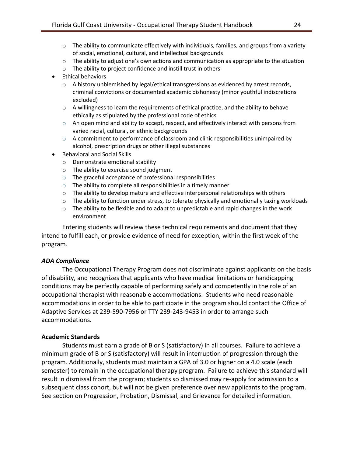- $\circ$  The ability to communicate effectively with individuals, families, and groups from a variety of social, emotional, cultural, and intellectual backgrounds
- $\circ$  The ability to adjust one's own actions and communication as appropriate to the situation
- o The ability to project confidence and instill trust in others
- Ethical behaviors
	- $\circ$  A history unblemished by legal/ethical transgressions as evidenced by arrest records, criminal convictions or documented academic dishonesty (minor youthful indiscretions excluded)
	- $\circ$  A willingness to learn the requirements of ethical practice, and the ability to behave ethically as stipulated by the professional code of ethics
	- $\circ$  An open mind and ability to accept, respect, and effectively interact with persons from varied racial, cultural, or ethnic backgrounds
	- $\circ$  A commitment to performance of classroom and clinic responsibilities unimpaired by alcohol, prescription drugs or other illegal substances
- Behavioral and Social Skills
	- o Demonstrate emotional stability
	- o The ability to exercise sound judgment
	- o The graceful acceptance of professional responsibilities
	- $\circ$  The ability to complete all responsibilities in a timely manner
	- $\circ$  The ability to develop mature and effective interpersonal relationships with others
	- $\circ$  The ability to function under stress, to tolerate physically and emotionally taxing workloads
	- o The ability to be flexible and to adapt to unpredictable and rapid changes in the work environment

Entering students will review these technical requirements and document that they intend to fulfill each, or provide evidence of need for exception, within the first week of the program.

## <span id="page-23-0"></span>*ADA Compliance*

The Occupational Therapy Program does not discriminate against applicants on the basis of disability, and recognizes that applicants who have medical limitations or handicapping conditions may be perfectly capable of performing safely and competently in the role of an occupational therapist with reasonable accommodations. Students who need reasonable accommodations in order to be able to participate in the program should contact the Office of Adaptive Services at 239-590-7956 or TTY 239-243-9453 in order to arrange such accommodations.

## <span id="page-23-1"></span>**Academic Standards**

Students must earn a grade of B or S (satisfactory) in all courses. Failure to achieve a minimum grade of B or S (satisfactory) will result in interruption of progression through the program. Additionally, students must maintain a GPA of 3.0 or higher on a 4.0 scale (each semester) to remain in the occupational therapy program. Failure to achieve this standard will result in dismissal from the program; students so dismissed may re-apply for admission to a subsequent class cohort, but will not be given preference over new applicants to the program. See section on Progression, Probation, Dismissal, and Grievance for detailed information.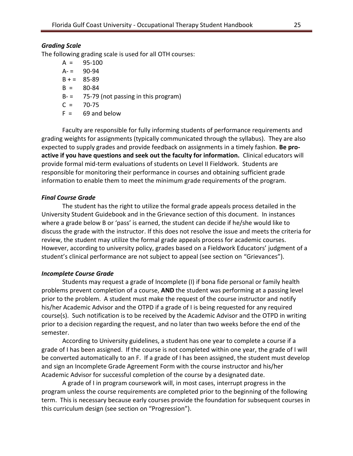#### <span id="page-24-0"></span>*Grading Scale*

The following grading scale is used for all OTH courses:

 $A = 95-100$  $A = 90-94$  $B + = 85-89$  $B = 80-84$  $B = 75-79$  (not passing in this program)  $C = 70-75$  $F = 69$  and below

Faculty are responsible for fully informing students of performance requirements and grading weights for assignments (typically communicated through the syllabus). They are also expected to supply grades and provide feedback on assignments in a timely fashion. **Be proactive if you have questions and seek out the faculty for information.** Clinical educators will provide formal mid-term evaluations of students on Level II Fieldwork. Students are responsible for monitoring their performance in courses and obtaining sufficient grade information to enable them to meet the minimum grade requirements of the program.

#### <span id="page-24-1"></span>*Final Course Grade*

The student has the right to utilize the formal grade appeals process detailed in the University Student Guidebook and in the Grievance section of this document. In instances where a grade below B or 'pass' is earned, the student can decide if he/she would like to discuss the grade with the instructor. If this does not resolve the issue and meets the criteria for review, the student may utilize the formal grade appeals process for academic courses. However, according to university policy, grades based on a Fieldwork Educators' judgment of a student's clinical performance are not subject to appeal (see section on "Grievances").

#### <span id="page-24-2"></span>*Incomplete Course Grade*

Students may request a grade of Incomplete (I) if bona fide personal or family health problems prevent completion of a course, **AND** the student was performing at a passing level prior to the problem. A student must make the request of the course instructor and notify his/her Academic Advisor and the OTPD if a grade of I is being requested for any required course(s). Such notification is to be received by the Academic Advisor and the OTPD in writing prior to a decision regarding the request, and no later than two weeks before the end of the semester.

According to University guidelines, a student has one year to complete a course if a grade of I has been assigned. If the course is not completed within one year, the grade of I will be converted automatically to an F. If a grade of I has been assigned, the student must develop and sign an Incomplete Grade Agreement Form with the course instructor and his/her Academic Advisor for successful completion of the course by a designated date.

A grade of I in program coursework will, in most cases, interrupt progress in the program unless the course requirements are completed prior to the beginning of the following term. This is necessary because early courses provide the foundation for subsequent courses in this curriculum design (see section on "Progression").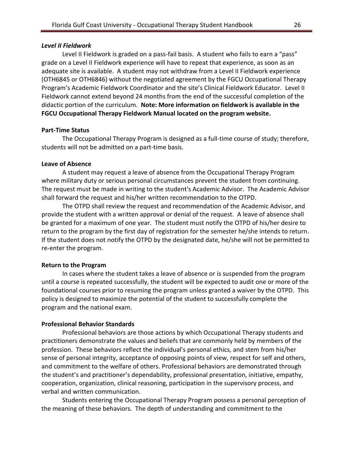#### <span id="page-25-0"></span>*Level II Fieldwork*

Level II Fieldwork is graded on a pass-fail basis. A student who fails to earn a "pass" grade on a Level II Fieldwork experience will have to repeat that experience, as soon as an adequate site is available. A student may not withdraw from a Level II Fieldwork experience (OTH6845 or OTH6846) without the negotiated agreement by the FGCU Occupational Therapy Program's Academic Fieldwork Coordinator and the site's Clinical Fieldwork Educator. Level II Fieldwork cannot extend beyond 24 months from the end of the successful completion of the didactic portion of the curriculum. **Note: More information on fieldwork is available in the FGCU Occupational Therapy Fieldwork Manual located on the program website.**

#### <span id="page-25-1"></span>**Part-Time Status**

The Occupational Therapy Program is designed as a full-time course of study; therefore, students will not be admitted on a part-time basis.

#### <span id="page-25-2"></span>**Leave of Absence**

A student may request a leave of absence from the Occupational Therapy Program where military duty or serious personal circumstances prevent the student from continuing. The request must be made in writing to the student's Academic Advisor. The Academic Advisor shall forward the request and his/her written recommendation to the OTPD.

The OTPD shall review the request and recommendation of the Academic Advisor, and provide the student with a written approval or denial of the request. A leave of absence shall be granted for a maximum of one year. The student must notify the OTPD of his/her desire to return to the program by the first day of registration for the semester he/she intends to return. If the student does not notify the OTPD by the designated date, he/she will not be permitted to re-enter the program.

#### <span id="page-25-3"></span>**Return to the Program**

In cases where the student takes a leave of absence or is suspended from the program until a course is repeated successfully, the student will be expected to audit one or more of the foundational courses prior to resuming the program unless granted a waiver by the OTPD. This policy is designed to maximize the potential of the student to successfully complete the program and the national exam.

#### <span id="page-25-4"></span>**Professional Behavior Standards**

Professional behaviors are those actions by which Occupational Therapy students and practitioners demonstrate the values and beliefs that are commonly held by members of the profession. These behaviors reflect the individual's personal ethics, and stem from his/her sense of personal integrity, acceptance of opposing points of view, respect for self and others, and commitment to the welfare of others. Professional behaviors are demonstrated through the student's and practitioner's dependability, professional presentation, initiative, empathy, cooperation, organization, clinical reasoning, participation in the supervisory process, and verbal and written communication.

Students entering the Occupational Therapy Program possess a personal perception of the meaning of these behaviors. The depth of understanding and commitment to the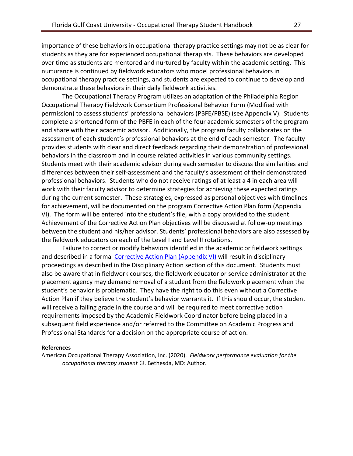importance of these behaviors in occupational therapy practice settings may not be as clear for students as they are for experienced occupational therapists. These behaviors are developed over time as students are mentored and nurtured by faculty within the academic setting. This nurturance is continued by fieldwork educators who model professional behaviors in occupational therapy practice settings, and students are expected to continue to develop and demonstrate these behaviors in their daily fieldwork activities.

The Occupational Therapy Program utilizes an adaptation of the Philadelphia Region Occupational Therapy Fieldwork Consortium Professional Behavior Form (Modified with permission) to assess students' professional behaviors (PBFE/PBSE) (see Appendix V). Students complete a shortened form of the PBFE in each of the four academic semesters of the program and share with their academic advisor. Additionally, the program faculty collaborates on the assessment of each student's professional behaviors at the end of each semester. The faculty provides students with clear and direct feedback regarding their demonstration of professional behaviors in the classroom and in course related activities in various community settings. Students meet with their academic advisor during each semester to discuss the similarities and differences between their self-assessment and the faculty's assessment of their demonstrated professional behaviors. Students who do not receive ratings of at least a 4 in each area will work with their faculty advisor to determine strategies for achieving these expected ratings during the current semester. These strategies, expressed as personal objectives with timelines for achievement, will be documented on the program Corrective Action Plan form (Appendix VI). The form will be entered into the student's file, with a copy provided to the student. Achievement of the Corrective Action Plan objectives will be discussed at follow-up meetings between the student and his/her advisor. Students' professional behaviors are also assessed by the fieldwork educators on each of the Level I and Level II rotations.

Failure to correct or modify behaviors identified in the academic or fieldwork settings and described in a formal [Corrective Action Plan](#page-56-0) (Appendix VI) will result in disciplinary proceedings as described in the Disciplinary Action section of this document. Students must also be aware that in fieldwork courses, the fieldwork educator or service administrator at the placement agency may demand removal of a student from the fieldwork placement when the student's behavior is problematic. They have the right to do this even without a Corrective Action Plan if they believe the student's behavior warrants it. If this should occur, the student will receive a failing grade in the course and will be required to meet corrective action requirements imposed by the Academic Fieldwork Coordinator before being placed in a subsequent field experience and/or referred to the Committee on Academic Progress and Professional Standards for a decision on the appropriate course of action.

#### **References**

American Occupational Therapy Association, Inc. (2020). *Fieldwork performance evaluation for the occupational therapy student* ©. Bethesda, MD: Author.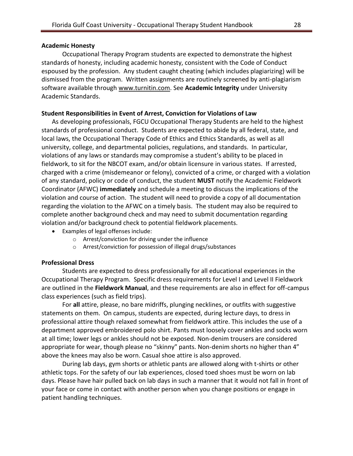#### <span id="page-27-0"></span>**Academic Honesty**

Occupational Therapy Program students are expected to demonstrate the highest standards of honesty, including academic honesty, consistent with the Code of Conduct espoused by the profession. Any student caught cheating (which includes plagiarizing) will be dismissed from the program. Written assignments are routinely screened by anti-plagiarism software available through [www.turnitin.com.](http://www.turnitin.com/) See **Academic Integrity** under University Academic Standards.

#### <span id="page-27-1"></span>**Student Responsibilities in Event of Arrest, Conviction for Violations of Law**

As developing professionals, FGCU Occupational Therapy Students are held to the highest standards of professional conduct. Students are expected to abide by all federal, state, and local laws, the Occupational Therapy Code of Ethics and Ethics Standards, as well as all university, college, and departmental policies, regulations, and standards. In particular, violations of any laws or standards may compromise a student's ability to be placed in fieldwork, to sit for the NBCOT exam, and/or obtain licensure in various states. If arrested, charged with a crime (misdemeanor or felony), convicted of a crime, or charged with a violation of any standard, policy or code of conduct, the student **MUST** notify the Academic Fieldwork Coordinator (AFWC) **immediately** and schedule a meeting to discuss the implications of the violation and course of action. The student will need to provide a copy of all documentation regarding the violation to the AFWC on a timely basis. The student may also be required to complete another background check and may need to submit documentation regarding violation and/or background check to potential fieldwork placements.

- Examples of legal offenses include:
	- o Arrest/conviction for driving under the influence
	- o Arrest/conviction for possession of illegal drugs/substances

#### <span id="page-27-2"></span>**Professional Dress**

Students are expected to dress professionally for all educational experiences in the Occupational Therapy Program. Specific dress requirements for Level I and Level II Fieldwork are outlined in the **Fieldwork Manual**, and these requirements are also in effect for off-campus class experiences (such as field trips).

For **all** attire, please, no bare midriffs, plunging necklines, or outfits with suggestive statements on them. On campus, students are expected, during lecture days, to dress in professional attire though relaxed somewhat from fieldwork attire. This includes the use of a department approved embroidered polo shirt. Pants must loosely cover ankles and socks worn at all time; lower legs or ankles should not be exposed. Non-denim trousers are considered appropriate for wear, though please no "skinny" pants. Non-denim shorts no higher than 4" above the knees may also be worn. Casual shoe attire is also approved.

During lab days, gym shorts or athletic pants are allowed along with t-shirts or other athletic tops. For the safety of our lab experiences, closed toed shoes must be worn on lab days. Please have hair pulled back on lab days in such a manner that it would not fall in front of your face or come in contact with another person when you change positions or engage in patient handling techniques.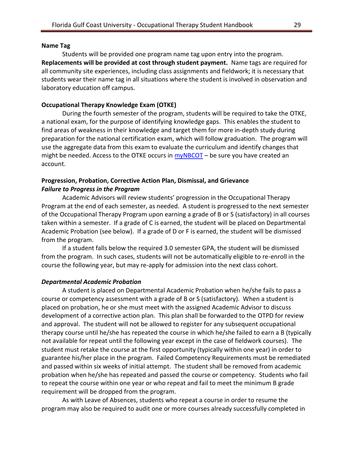#### <span id="page-28-0"></span>**Name Tag**

Students will be provided one program name tag upon entry into the program. **Replacements will be provided at cost through student payment.** Name tags are required for all community site experiences, including class assignments and fieldwork; it is necessary that students wear their name tag in all situations where the student is involved in observation and laboratory education off campus.

#### <span id="page-28-1"></span>**Occupational Therapy Knowledge Exam (OTKE)**

During the fourth semester of the program, students will be required to take the OTKE, a national exam, for the purpose of identifying knowledge gaps. This enables the student to find areas of weakness in their knowledge and target them for more in-depth study during preparation for the national certification exam, which will follow graduation. The program will use the aggregate data from this exam to evaluate the curriculum and identify changes that might be needed. Access to the OTKE occurs in  $myNBCOT -$  be sure you have created an account.

#### <span id="page-28-3"></span><span id="page-28-2"></span>**Progression, Probation, Corrective Action Plan, Dismissal, and Grievance** *Failure to Progress in the Program*

Academic Advisors will review students' progression in the Occupational Therapy Program at the end of each semester, as needed. A student is progressed to the next semester of the Occupational Therapy Program upon earning a grade of B or S (satisfactory) in all courses taken within a semester. If a grade of C is earned, the student will be placed on Departmental Academic Probation (see below). If a grade of D or F is earned, the student will be dismissed from the program.

If a student falls below the required 3.0 semester GPA, the student will be dismissed from the program. In such cases, students will not be automatically eligible to re-enroll in the course the following year, but may re-apply for admission into the next class cohort.

#### <span id="page-28-4"></span>*Departmental Academic Probation*

A student is placed on Departmental Academic Probation when he/she fails to pass a course or competency assessment with a grade of B or S (satisfactory). When a student is placed on probation, he or she must meet with the assigned Academic Advisor to discuss development of a corrective action plan. This plan shall be forwarded to the OTPD for review and approval. The student will not be allowed to register for any subsequent occupational therapy course until he/she has repeated the course in which he/she failed to earn a B (typically not available for repeat until the following year except in the case of fieldwork courses). The student must retake the course at the first opportunity (typically within one year) in order to guarantee his/her place in the program. Failed Competency Requirements must be remediated and passed within six weeks of initial attempt. The student shall be removed from academic probation when he/she has repeated and passed the course or competency. Students who fail to repeat the course within one year or who repeat and fail to meet the minimum B grade requirement will be dropped from the program.

As with Leave of Absences, students who repeat a course in order to resume the program may also be required to audit one or more courses already successfully completed in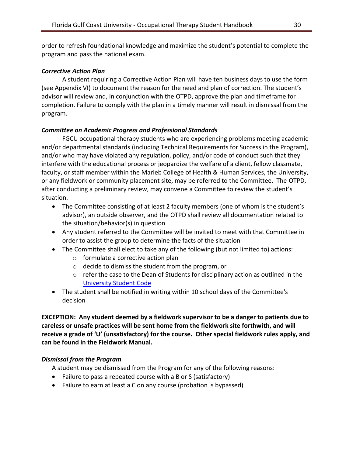order to refresh foundational knowledge and maximize the student's potential to complete the program and pass the national exam.

## <span id="page-29-0"></span>*Corrective Action Plan*

A student requiring a Corrective Action Plan will have ten business days to use the form (see Appendix VI) to document the reason for the need and plan of correction. The student's advisor will review and, in conjunction with the OTPD, approve the plan and timeframe for completion. Failure to comply with the plan in a timely manner will result in dismissal from the program.

# <span id="page-29-1"></span>*Committee on Academic Progress and Professional Standards*

FGCU occupational therapy students who are experiencing problems meeting academic and/or departmental standards (including Technical Requirements for Success in the Program), and/or who may have violated any regulation, policy, and/or code of conduct such that they interfere with the educational process or jeopardize the welfare of a client, fellow classmate, faculty, or staff member within the Marieb College of Health & Human Services, the University, or any fieldwork or community placement site, may be referred to the Committee. The OTPD, after conducting a preliminary review, may convene a Committee to review the student's situation.

- The Committee consisting of at least 2 faculty members (one of whom is the student's advisor), an outside observer, and the OTPD shall review all documentation related to the situation/behavior(s) in question
- Any student referred to the Committee will be invited to meet with that Committee in order to assist the group to determine the facts of the situation
- The Committee shall elect to take any of the following (but not limited to) actions:
	- o formulate a corrective action plan
	- o decide to dismiss the student from the program, or
	- $\circ$  refer the case to the Dean of Students for disciplinary action as outlined in the [University Student Code](https://www.fgcu.edu/generalcounsel/regulations/approved/regulation4.002.pdf)
- The student shall be notified in writing within 10 school days of the Committee's decision

**EXCEPTION: Any student deemed by a fieldwork supervisor to be a danger to patients due to careless or unsafe practices will be sent home from the fieldwork site forthwith, and will receive a grade of 'U' (unsatisfactory) for the course. Other special fieldwork rules apply, and can be found in the Fieldwork Manual.**

# <span id="page-29-2"></span>*Dismissal from the Program*

A student may be dismissed from the Program for any of the following reasons:

- Failure to pass a repeated course with a B or S (satisfactory)
- Failure to earn at least a C on any course (probation is bypassed)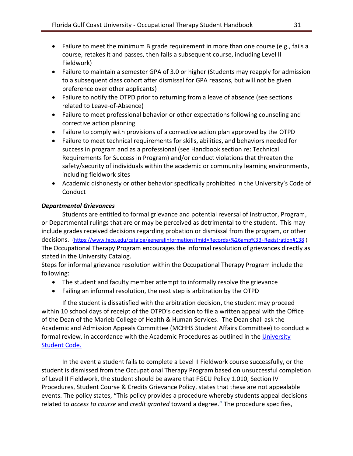- Failure to meet the minimum B grade requirement in more than one course (e.g., fails a course, retakes it and passes, then fails a subsequent course, including Level II Fieldwork)
- Failure to maintain a semester GPA of 3.0 or higher (Students may reapply for admission to a subsequent class cohort after dismissal for GPA reasons, but will not be given preference over other applicants)
- Failure to notify the OTPD prior to returning from a leave of absence (see sections related to Leave-of-Absence)
- Failure to meet professional behavior or other expectations following counseling and corrective action planning
- Failure to comply with provisions of a corrective action plan approved by the OTPD
- Failure to meet technical requirements for skills, abilities, and behaviors needed for success in program and as a professional (see Handbook section re: Technical Requirements for Success in Program) and/or conduct violations that threaten the safety/security of individuals within the academic or community learning environments, including fieldwork sites
- Academic dishonesty or other behavior specifically prohibited in the University's Code of **Conduct**

## <span id="page-30-0"></span>*Departmental Grievances*

Students are entitled to formal grievance and potential reversal of Instructor, Program, or Departmental rulings that are or may be perceived as detrimental to the student. This may include grades received decisions regarding probation or dismissal from the program, or other decisions. [\(https://www.fgcu.edu/catalog/generalinformation?fmid=Records+%26amp%3B+Registration#138](https://www.fgcu.edu/catalog/generalinformation?fmid=Records+%26amp%3B+Registration#138) ) The Occupational Therapy Program encourages the informal resolution of grievances directly as stated in the University Catalog.

Steps for informal grievance resolution within the Occupational Therapy Program include the following:

- The student and faculty member attempt to informally resolve the grievance
- Failing an informal resolution, the next step is arbitration by the OTPD

If the student is dissatisfied with the arbitration decision, the student may proceed within 10 school days of receipt of the OTPD's decision to file a written appeal with the Office of the Dean of the Marieb College of Health & Human Services. The Dean shall ask the Academic and Admission Appeals Committee (MCHHS Student Affairs Committee) to conduct a formal review, in accordance with the Academic Procedures as outlined in th[e University](https://www.fgcu.edu/generalcounsel/regulations/approved/regulation4.002.pdf)  [Student Code.](https://www.fgcu.edu/generalcounsel/regulations/approved/regulation4.002.pdf)

In the event a student fails to complete a Level II Fieldwork course successfully, or the student is dismissed from the Occupational Therapy Program based on unsuccessful completion of Level II Fieldwork, the student should be aware that FGCU Policy 1.010, Section IV Procedures, Student Course & Credits Grievance Policy, states that these are not appealable events. The policy states, "This policy provides a procedure whereby students appeal decisions related to *access to course* and *credit granted* toward a degree." The procedure specifies,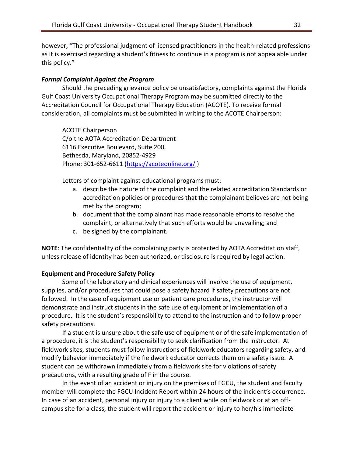however, "The professional judgment of licensed practitioners in the health-related professions as it is exercised regarding a student's fitness to continue in a program is not appealable under this policy."

## <span id="page-31-0"></span>*Formal Complaint Against the Program*

Should the preceding grievance policy be unsatisfactory, complaints against the Florida Gulf Coast University Occupational Therapy Program may be submitted directly to the Accreditation Council for Occupational Therapy Education (ACOTE). To receive formal consideration, all complaints must be submitted in writing to the ACOTE Chairperson:

ACOTE Chairperson C/o the AOTA Accreditation Department 6116 Executive Boulevard, Suite 200, Bethesda, Maryland, 20852-4929 Phone: 301-652-6611 [\(https://acoteonline.org/](https://acoteonline.org/) )

Letters of complaint against educational programs must:

- a. describe the nature of the complaint and the related accreditation Standards or accreditation policies or procedures that the complainant believes are not being met by the program;
- b. document that the complainant has made reasonable efforts to resolve the complaint, or alternatively that such efforts would be unavailing; and
- c. be signed by the complainant.

**NOTE**: The confidentiality of the complaining party is protected by AOTA Accreditation staff, unless release of identity has been authorized, or disclosure is required by legal action.

## <span id="page-31-1"></span>**Equipment and Procedure Safety Policy**

Some of the laboratory and clinical experiences will involve the use of equipment, supplies, and/or procedures that could pose a safety hazard if safety precautions are not followed. In the case of equipment use or patient care procedures, the instructor will demonstrate and instruct students in the safe use of equipment or implementation of a procedure. It is the student's responsibility to attend to the instruction and to follow proper safety precautions.

If a student is unsure about the safe use of equipment or of the safe implementation of a procedure, it is the student's responsibility to seek clarification from the instructor. At fieldwork sites, students must follow instructions of fieldwork educators regarding safety, and modify behavior immediately if the fieldwork educator corrects them on a safety issue. A student can be withdrawn immediately from a fieldwork site for violations of safety precautions, with a resulting grade of F in the course.

In the event of an accident or injury on the premises of FGCU, the student and faculty member will complete the FGCU Incident Report within 24 hours of the incident's occurrence. In case of an accident, personal injury or injury to a client while on fieldwork or at an offcampus site for a class, the student will report the accident or injury to her/his immediate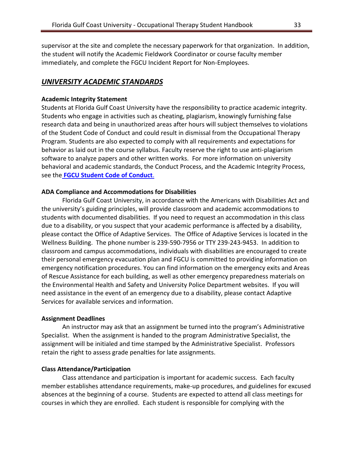supervisor at the site and complete the necessary paperwork for that organization. In addition, the student will notify the Academic Fieldwork Coordinator or course faculty member immediately, and complete the FGCU Incident Report for Non-Employees.

## <span id="page-32-0"></span>*UNIVERSITY ACADEMIC STANDARDS*

#### <span id="page-32-1"></span>**Academic Integrity Statement**

Students at Florida Gulf Coast University have the responsibility to practice academic integrity. Students who engage in activities such as cheating, plagiarism, knowingly furnishing false research data and being in unauthorized areas after hours will subject themselves to violations of the Student Code of Conduct and could result in dismissal from the Occupational Therapy Program. Students are also expected to comply with all requirements and expectations for behavior as laid out in the course syllabus. Faculty reserve the right to use anti-plagiarism software to analyze papers and other written works. For more information on university behavioral and academic standards, the Conduct Process, and the Academic Integrity Process, see the **[FGCU Student Code of Conduct](https://www.fgcu.edu/generalcounsel/regulations/approved/regulation4.002.pdf)**.

#### <span id="page-32-2"></span>**ADA Compliance and Accommodations for Disabilities**

Florida Gulf Coast University, in accordance with the Americans with Disabilities Act and the university's guiding principles, will provide classroom and academic accommodations to students with documented disabilities. If you need to request an accommodation in this class due to a disability, or you suspect that your academic performance is affected by a disability, please contact the Office of Adaptive Services. The Office of Adaptive Services is located in the Wellness Building. The phone number is 239-590-7956 or TTY 239-243-9453. In addition to classroom and campus accommodations, individuals with disabilities are encouraged to create their personal emergency evacuation plan and FGCU is committed to providing information on emergency notification procedures. You can find information on the emergency exits and Areas of Rescue Assistance for each building, as well as other emergency preparedness materials on the Environmental Health and Safety and University Police Department websites. If you will need assistance in the event of an emergency due to a disability, please contact Adaptive Services for available services and information.

#### <span id="page-32-3"></span>**Assignment Deadlines**

An instructor may ask that an assignment be turned into the program's Administrative Specialist. When the assignment is handed to the program Administrative Specialist, the assignment will be initialed and time stamped by the Administrative Specialist. Professors retain the right to assess grade penalties for late assignments.

#### <span id="page-32-4"></span>**Class Attendance/Participation**

Class attendance and participation is important for academic success. Each faculty member establishes attendance requirements, make-up procedures, and guidelines for excused absences at the beginning of a course. Students are expected to attend all class meetings for courses in which they are enrolled. Each student is responsible for complying with the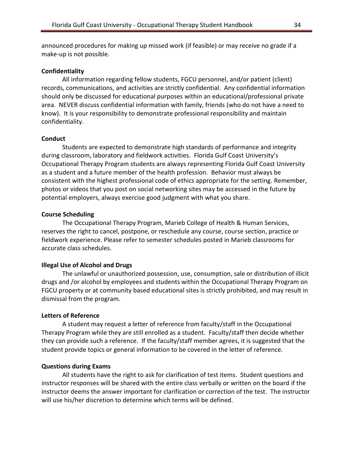announced procedures for making up missed work (if feasible) or may receive no grade if a make-up is not possible.

#### <span id="page-33-0"></span>**Confidentiality**

All information regarding fellow students, FGCU personnel, and/or patient (client) records, communications, and activities are strictly confidential. Any confidential information should only be discussed for educational purposes within an educational/professional private area. NEVER discuss confidential information with family, friends (who do not have a need to know). It is your responsibility to demonstrate professional responsibility and maintain confidentiality.

#### <span id="page-33-1"></span>**Conduct**

Students are expected to demonstrate high standards of performance and integrity during classroom, laboratory and fieldwork activities. Florida Gulf Coast University's Occupational Therapy Program students are always representing Florida Gulf Coast University as a student and a future member of the health profession. Behavior must always be consistent with the highest professional code of ethics appropriate for the setting. Remember, photos or videos that you post on social networking sites may be accessed in the future by potential employers, always exercise good judgment with what you share.

#### <span id="page-33-2"></span>**Course Scheduling**

The Occupational Therapy Program, Marieb College of Health & Human Services, reserves the right to cancel, postpone, or reschedule any course, course section, practice or fieldwork experience. Please refer to semester schedules posted in Marieb classrooms for accurate class schedules.

#### <span id="page-33-3"></span>**Illegal Use of Alcohol and Drugs**

The unlawful or unauthorized possession, use, consumption, sale or distribution of illicit drugs and /or alcohol by employees and students within the Occupational Therapy Program on FGCU property or at community based educational sites is strictly prohibited, and may result in dismissal from the program.

#### <span id="page-33-4"></span>**Letters of Reference**

A student may request a letter of reference from faculty/staff in the Occupational Therapy Program while they are still enrolled as a student. Faculty/staff then decide whether they can provide such a reference. If the faculty/staff member agrees, it is suggested that the student provide topics or general information to be covered in the letter of reference.

#### <span id="page-33-5"></span>**Questions during Exams**

All students have the right to ask for clarification of test items. Student questions and instructor responses will be shared with the entire class verbally or written on the board if the instructor deems the answer important for clarification or correction of the test. The instructor will use his/her discretion to determine which terms will be defined.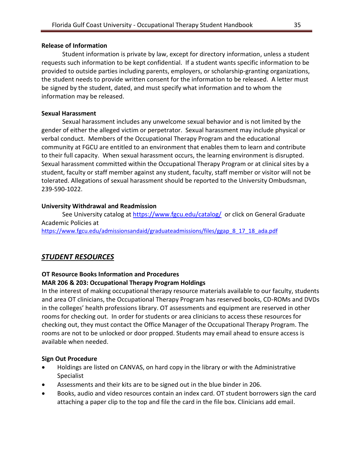## <span id="page-34-0"></span>**Release of Information**

Student information is private by law, except for directory information, unless a student requests such information to be kept confidential. If a student wants specific information to be provided to outside parties including parents, employers, or scholarship-granting organizations, the student needs to provide written consent for the information to be released. A letter must be signed by the student, dated, and must specify what information and to whom the information may be released.

## <span id="page-34-1"></span>**Sexual Harassment**

Sexual harassment includes any unwelcome sexual behavior and is not limited by the gender of either the alleged victim or perpetrator. Sexual harassment may include physical or verbal conduct. Members of the Occupational Therapy Program and the educational community at FGCU are entitled to an environment that enables them to learn and contribute to their full capacity. When sexual harassment occurs, the learning environment is disrupted. Sexual harassment committed within the Occupational Therapy Program or at clinical sites by a student, faculty or staff member against any student, faculty, staff member or visitor will not be tolerated. Allegations of sexual harassment should be reported to the University Ombudsman, 239-590-1022.

## <span id="page-34-2"></span>**University Withdrawal and Readmission**

See University catalog at<https://www.fgcu.edu/catalog/> or click on General Graduate Academic Policies at [https://www.fgcu.edu/admissionsandaid/graduateadmissions/files/ggap\\_8\\_17\\_18\\_ada.pdf](https://www.fgcu.edu/admissionsandaid/graduateadmissions/files/ggap_8_17_18_ada.pdf)

## <span id="page-34-3"></span>*STUDENT RESOURCES*

## <span id="page-34-4"></span>**OT Resource Books Information and Procedures**

## **MAR 206 & 203: Occupational Therapy Program Holdings**

In the interest of making occupational therapy resource materials available to our faculty, students and area OT clinicians, the Occupational Therapy Program has reserved books, CD-ROMs and DVDs in the colleges' health professions library. OT assessments and equipment are reserved in other rooms for checking out. In order for students or area clinicians to access these resources for checking out, they must contact the Office Manager of the Occupational Therapy Program. The rooms are not to be unlocked or door propped. Students may email ahead to ensure access is available when needed.

## **Sign Out Procedure**

- Holdings are listed on CANVAS, on hard copy in the library or with the Administrative Specialist
- Assessments and their kits are to be signed out in the blue binder in 206.
- Books, audio and video resources contain an index card. OT student borrowers sign the card attaching a paper clip to the top and file the card in the file box. Clinicians add email.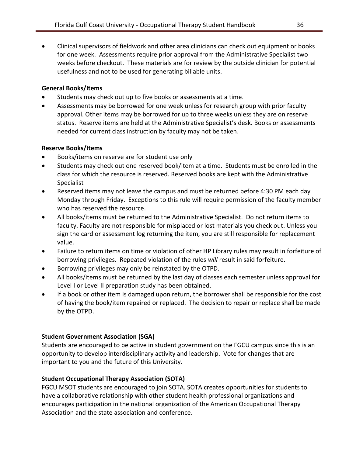• Clinical supervisors of fieldwork and other area clinicians can check out equipment or books for one week. Assessments require prior approval from the Administrative Specialist two weeks before checkout. These materials are for review by the outside clinician for potential usefulness and not to be used for generating billable units.

## **General Books/Items**

- Students may check out up to five books or assessments at a time.
- Assessments may be borrowed for one week unless for research group with prior faculty approval. Other items may be borrowed for up to three weeks unless they are on reserve status. Reserve items are held at the Administrative Specialist's desk. Books or assessments needed for current class instruction by faculty may not be taken.

## **Reserve Books/Items**

- Books/items on reserve are for student use only
- Students may check out one reserved book/item at a time. Students must be enrolled in the class for which the resource is reserved. Reserved books are kept with the Administrative Specialist
- Reserved items may not leave the campus and must be returned before 4:30 PM each day Monday through Friday. Exceptions to this rule will require permission of the faculty member who has reserved the resource.
- All books/items must be returned to the Administrative Specialist. Do not return items to faculty. Faculty are not responsible for misplaced or lost materials you check out. Unless you sign the card or assessment log returning the item, you are still responsible for replacement value.
- Failure to return items on time or violation of other HP Library rules may result in forfeiture of borrowing privileges. Repeated violation of the rules *will* result in said forfeiture.
- Borrowing privileges may only be reinstated by the OTPD.
- All books/items must be returned by the last day of classes each semester unless approval for Level I or Level II preparation study has been obtained.
- If a book or other item is damaged upon return, the borrower shall be responsible for the cost of having the book/item repaired or replaced. The decision to repair or replace shall be made by the OTPD.

## <span id="page-35-0"></span>**Student Government Association (SGA)**

Students are encouraged to be active in student government on the FGCU campus since this is an opportunity to develop interdisciplinary activity and leadership. Vote for changes that are important to you and the future of this University.

## <span id="page-35-1"></span>**Student Occupational Therapy Association (SOTA)**

FGCU MSOT students are encouraged to join SOTA. SOTA creates opportunities for students to have a collaborative relationship with other student health professional organizations and encourages participation in the national organization of the American Occupational Therapy Association and the state association and conference.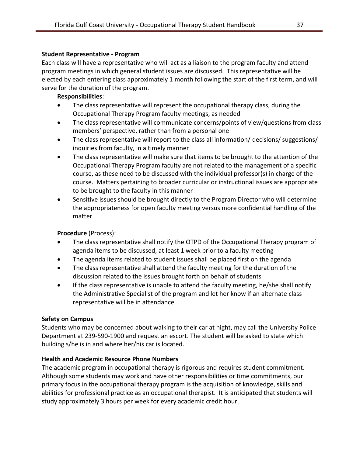## <span id="page-36-0"></span>**Student Representative - Program**

Each class will have a representative who will act as a liaison to the program faculty and attend program meetings in which general student issues are discussed. This representative will be elected by each entering class approximately 1 month following the start of the first term, and will serve for the duration of the program.

## **Responsibilities**:

- The class representative will represent the occupational therapy class, during the Occupational Therapy Program faculty meetings, as needed
- The class representative will communicate concerns/points of view/questions from class members' perspective, rather than from a personal one
- The class representative will report to the class all information/ decisions/ suggestions/ inquiries from faculty, in a timely manner
- The class representative will make sure that items to be brought to the attention of the Occupational Therapy Program faculty are not related to the management of a specific course, as these need to be discussed with the individual professor(s) in charge of the course. Matters pertaining to broader curricular or instructional issues are appropriate to be brought to the faculty in this manner
- Sensitive issues should be brought directly to the Program Director who will determine the appropriateness for open faculty meeting versus more confidential handling of the matter

## **Procedure** (Process):

- The class representative shall notify the OTPD of the Occupational Therapy program of agenda items to be discussed, at least 1 week prior to a faculty meeting
- The agenda items related to student issues shall be placed first on the agenda
- The class representative shall attend the faculty meeting for the duration of the discussion related to the issues brought forth on behalf of students
- If the class representative is unable to attend the faculty meeting, he/she shall notify the Administrative Specialist of the program and let her know if an alternate class representative will be in attendance

## <span id="page-36-1"></span>**Safety on Campus**

Students who may be concerned about walking to their car at night, may call the University Police Department at 239-590-1900 and request an escort. The student will be asked to state which building s/he is in and where her/his car is located.

## <span id="page-36-2"></span>**Health and Academic Resource Phone Numbers**

The academic program in occupational therapy is rigorous and requires student commitment. Although some students may work and have other responsibilities or time commitments, our primary focus in the occupational therapy program is the acquisition of knowledge, skills and abilities for professional practice as an occupational therapist. It is anticipated that students will study approximately 3 hours per week for every academic credit hour.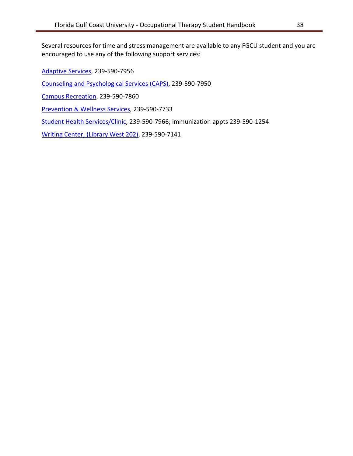Several resources for time and stress management are available to any FGCU student and you are encouraged to use any of the following support services:

[Adaptive Services,](http://www.fgcu.edu/adaptive/) 239-590-7956

[Counseling and Psychological Services](http://www.fgcu.edu/caps/) (CAPS), 239-590-7950

[Campus Recreation,](http://www.fgcu.edu/campusrec/) 239-590-7860

[Prevention & Wellness Services,](http://www.fgcu.edu/wellness/) 239-590-7733

[Student Health Services/Clinic,](http://www.fgcu.edu/studenthealth/) 239-590-7966; immunization appts 239-590-1254

[Writing Center, \(Library West 202\),](http://www.fgcu.edu/WritingCenter/) 239-590-7141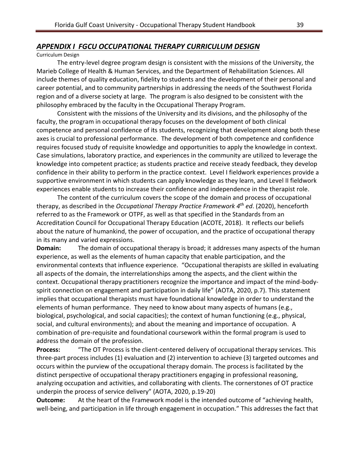## <span id="page-38-0"></span>*APPENDIX I FGCU OCCUPATIONAL THERAPY CURRICULUM DESIGN*

## Curriculum Design

The entry-level degree program design is consistent with the missions of the University, the Marieb College of Health & Human Services, and the Department of Rehabilitation Sciences. All include themes of quality education, fidelity to students and the development of their personal and career potential, and to community partnerships in addressing the needs of the Southwest Florida region and of a diverse society at large. The program is also designed to be consistent with the philosophy embraced by the faculty in the Occupational Therapy Program.

Consistent with the missions of the University and its divisions, and the philosophy of the faculty, the program in occupational therapy focuses on the development of both clinical competence and personal confidence of its students, recognizing that development along both these axes is crucial to professional performance. The development of both competence and confidence requires focused study of requisite knowledge and opportunities to apply the knowledge in context. Case simulations, laboratory practice, and experiences in the community are utilized to leverage the knowledge into competent practice; as students practice and receive steady feedback, they develop confidence in their ability to perform in the practice context. Level I fieldwork experiences provide a supportive environment in which students can apply knowledge as they learn, and Level II fieldwork experiences enable students to increase their confidence and independence in the therapist role.

The content of the curriculum covers the scope of the domain and process of occupational therapy, as described in the *Occupational Therapy Practice Framework 4 th ed*. (2020), henceforth referred to as the Framework or OTPF, as well as that specified in the Standards from an Accreditation Council for Occupational Therapy Education (ACOTE, 2018). It reflects our beliefs about the nature of humankind, the power of occupation, and the practice of occupational therapy in its many and varied expressions.

**Domain:** The domain of occupational therapy is broad; it addresses many aspects of the human experience, as well as the elements of human capacity that enable participation, and the environmental contexts that influence experience. "Occupational therapists are skilled in evaluating all aspects of the domain, the interrelationships among the aspects, and the client within the context. Occupational therapy practitioners recognize the importance and impact of the mind-bodyspirit connection on engagement and participation in daily life" (AOTA, 2020, p.7). This statement implies that occupational therapists must have foundational knowledge in order to understand the elements of human performance. They need to know about many aspects of humans (e.g., biological, psychological, and social capacities); the context of human functioning (e.g., physical, social, and cultural environments); and about the meaning and importance of occupation. A combination of pre-requisite and foundational coursework within the formal program is used to address the domain of the profession.

**Process:** "The OT Process is the client-centered delivery of occupational therapy services. This three-part process includes (1) evaluation and (2) intervention to achieve (3) targeted outcomes and occurs within the purview of the occupational therapy domain. The process is facilitated by the distinct perspective of occupational therapy practitioners engaging in professional reasoning, analyzing occupation and activities, and collaborating with clients. The cornerstones of OT practice underpin the process of service delivery" (AOTA, 2020, p.19-20)

**Outcome:** At the heart of the Framework model is the intended outcome of "achieving health, well-being, and participation in life through engagement in occupation." This addresses the fact that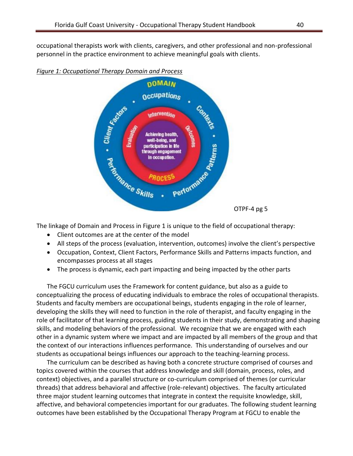occupational therapists work with clients, caregivers, and other professional and non-professional personnel in the practice environment to achieve meaningful goals with clients.



*Figure 1: Occupational Therapy Domain and Process* 

The linkage of Domain and Process in Figure 1 is unique to the field of occupational therapy:

- Client outcomes are at the center of the model
- All steps of the process (evaluation, intervention, outcomes) involve the client's perspective
- Occupation, Context, Client Factors, Performance Skills and Patterns impacts function, and encompasses process at all stages
- The process is dynamic, each part impacting and being impacted by the other parts

The FGCU curriculum uses the Framework for content guidance, but also as a guide to conceptualizing the process of educating individuals to embrace the roles of occupational therapists. Students and faculty members are occupational beings, students engaging in the role of learner, developing the skills they will need to function in the role of therapist, and faculty engaging in the role of facilitator of that learning process, guiding students in their study, demonstrating and shaping skills, and modeling behaviors of the professional. We recognize that we are engaged with each other in a dynamic system where we impact and are impacted by all members of the group and that the context of our interactions influences performance. This understanding of ourselves and our students as occupational beings influences our approach to the teaching-learning process.

The curriculum can be described as having both a concrete structure comprised of courses and topics covered within the courses that address knowledge and skill (domain, process, roles, and context) objectives, and a parallel structure or co-curriculum comprised of themes (or curricular threads) that address behavioral and affective (role-relevant) objectives. The faculty articulated three major student learning outcomes that integrate in context the requisite knowledge, skill, affective, and behavioral competencies important for our graduates. The following student learning outcomes have been established by the Occupational Therapy Program at FGCU to enable the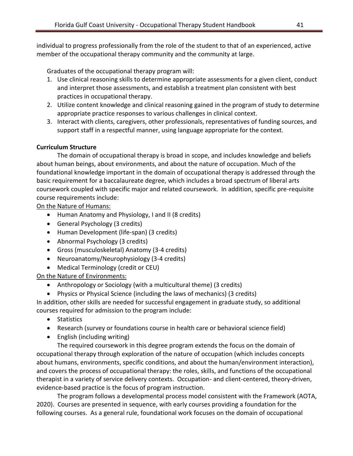individual to progress professionally from the role of the student to that of an experienced, active member of the occupational therapy community and the community at large.

Graduates of the occupational therapy program will:

- 1. Use clinical reasoning skills to determine appropriate assessments for a given client, conduct and interpret those assessments, and establish a treatment plan consistent with best practices in occupational therapy.
- 2. Utilize content knowledge and clinical reasoning gained in the program of study to determine appropriate practice responses to various challenges in clinical context.
- 3. Interact with clients, caregivers, other professionals, representatives of funding sources, and support staff in a respectful manner, using language appropriate for the context.

## **Curriculum Structure**

The domain of occupational therapy is broad in scope, and includes knowledge and beliefs about human beings, about environments, and about the nature of occupation. Much of the foundational knowledge important in the domain of occupational therapy is addressed through the basic requirement for a baccalaureate degree, which includes a broad spectrum of liberal arts coursework coupled with specific major and related coursework. In addition, specific pre-requisite course requirements include:

On the Nature of Humans:

- Human Anatomy and Physiology, I and II (8 credits)
- General Psychology (3 credits)
- Human Development (life-span) (3 credits)
- Abnormal Psychology (3 credits)
- Gross (musculoskeletal) Anatomy (3-4 credits)
- Neuroanatomy/Neurophysiology (3-4 credits)
- Medical Terminology (credit or CEU)

On the Nature of Environments:

- Anthropology or Sociology (with a multicultural theme) (3 credits)
- Physics or Physical Science (including the laws of mechanics) (3 credits)

In addition, other skills are needed for successful engagement in graduate study, so additional courses required for admission to the program include:

- Statistics
- Research (survey or foundations course in health care or behavioral science field)
- English (including writing)

The required coursework in this degree program extends the focus on the domain of occupational therapy through exploration of the nature of occupation (which includes concepts about humans, environments, specific conditions, and about the human/environment interaction), and covers the process of occupational therapy: the roles, skills, and functions of the occupational therapist in a variety of service delivery contexts. Occupation- and client-centered, theory-driven, evidence-based practice is the focus of program instruction.

The program follows a developmental process model consistent with the Framework (AOTA, 2020). Courses are presented in sequence, with early courses providing a foundation for the following courses. As a general rule, foundational work focuses on the domain of occupational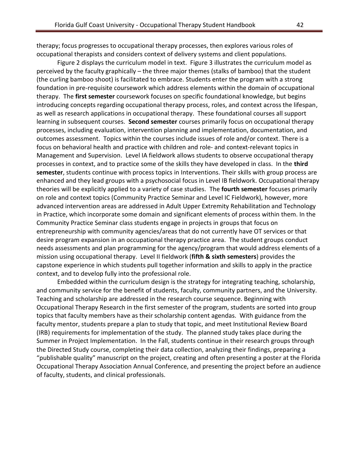therapy; focus progresses to occupational therapy processes, then explores various roles of occupational therapists and considers context of delivery systems and client populations.

Figure 2 displays the curriculum model in text. Figure 3 illustrates the curriculum model as perceived by the faculty graphically – the three major themes (stalks of bamboo) that the student (the curling bamboo shoot) is facilitated to embrace. Students enter the program with a strong foundation in pre-requisite coursework which address elements within the domain of occupational therapy. The **first semester** coursework focuses on specific foundational knowledge, but begins introducing concepts regarding occupational therapy process, roles, and context across the lifespan, as well as research applications in occupational therapy. These foundational courses all support learning in subsequent courses. **Second semester** courses primarily focus on occupational therapy processes, including evaluation, intervention planning and implementation, documentation, and outcomes assessment. Topics within the courses include issues of role and/or context. There is a focus on behavioral health and practice with children and role- and context-relevant topics in Management and Supervision. Level IA fieldwork allows students to observe occupational therapy processes in context, and to practice some of the skills they have developed in class. In the **third semester**, students continue with process topics in Interventions. Their skills with group process are enhanced and they lead groups with a psychosocial focus in Level IB fieldwork. Occupational therapy theories will be explicitly applied to a variety of case studies. The **fourth semester** focuses primarily on role and context topics (Community Practice Seminar and Level IC Fieldwork), however, more advanced intervention areas are addressed in Adult Upper Extremity Rehabilitation and Technology in Practice, which incorporate some domain and significant elements of process within them. In the Community Practice Seminar class students engage in projects in groups that focus on entrepreneurship with community agencies/areas that do not currently have OT services or that desire program expansion in an occupational therapy practice area. The student groups conduct needs assessments and plan programming for the agency/program that would address elements of a mission using occupational therapy. Level II fieldwork (**fifth & sixth semesters**) provides the capstone experience in which students pull together information and skills to apply in the practice context, and to develop fully into the professional role.

Embedded within the curriculum design is the strategy for integrating teaching, scholarship, and community service for the benefit of students, faculty, community partners, and the University. Teaching and scholarship are addressed in the research course sequence. Beginning with Occupational Therapy Research in the first semester of the program, students are sorted into group topics that faculty members have as their scholarship content agendas. With guidance from the faculty mentor, students prepare a plan to study that topic, and meet Institutional Review Board (IRB) requirements for implementation of the study. The planned study takes place during the Summer in Project Implementation. In the Fall, students continue in their research groups through the Directed Study course, completing their data collection, analyzing their findings, preparing a "publishable quality" manuscript on the project, creating and often presenting a poster at the Florida Occupational Therapy Association Annual Conference, and presenting the project before an audience of faculty, students, and clinical professionals.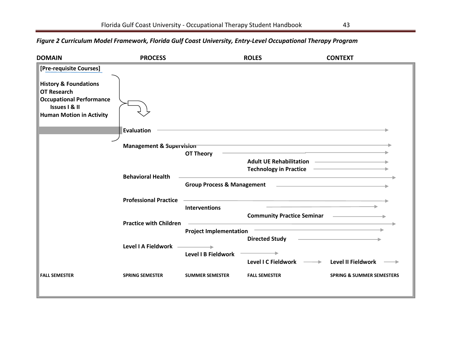# **DOMAIN PROCESS ROLES CONTEXT [Pre-requisite Courses]**  $\overline{\phantom{a}}$ **History & Foundations OT Research Occupational Performance Issues I & II Human Motion in Activity Evaluation Management & Supervision OT Theory Adult UE Rehabilitation Technology in Practice Behavioral Health Group Process & Management Professional Practice Interventions Community Practice Seminar Practice with Children Project Implementation Directed Study Level I A Fieldwork** ц. **Level I B Fieldwork Level I C Fieldwork Level II Fieldwork FALL SEMESTER SPRING SEMESTER SUMMER SEMESTER FALL SEMESTER SPRING & SUMMER SEMESTERS**

## *Figure 2 Curriculum Model Framework, Florida Gulf Coast University, Entry-Level Occupational Therapy Program*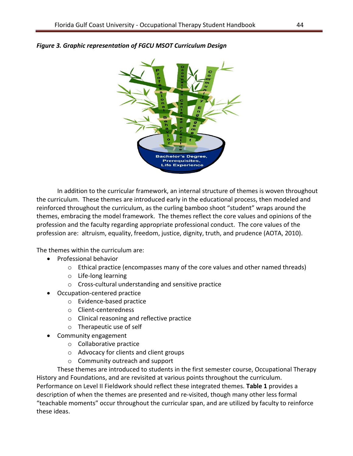

## *Figure 3. Graphic representation of FGCU MSOT Curriculum Design*

In addition to the curricular framework, an internal structure of themes is woven throughout the curriculum. These themes are introduced early in the educational process, then modeled and reinforced throughout the curriculum, as the curling bamboo shoot "student" wraps around the themes, embracing the model framework. The themes reflect the core values and opinions of the profession and the faculty regarding appropriate professional conduct. The core values of the profession are: altruism, equality, freedom, justice, dignity, truth, and prudence (AOTA, 2010).

The themes within the curriculum are:

- Professional behavior
	- $\circ$  Ethical practice (encompasses many of the core values and other named threads)
	- o Life-long learning
	- o Cross-cultural understanding and sensitive practice
- Occupation-centered practice
	- o Evidence-based practice
	- o Client-centeredness
	- o Clinical reasoning and reflective practice
	- o Therapeutic use of self
- Community engagement
	- o Collaborative practice
	- o Advocacy for clients and client groups
	- o Community outreach and support

These themes are introduced to students in the first semester course, Occupational Therapy History and Foundations, and are revisited at various points throughout the curriculum. Performance on Level II Fieldwork should reflect these integrated themes. **Table 1** provides a description of when the themes are presented and re-visited, though many other less formal "teachable moments" occur throughout the curricular span, and are utilized by faculty to reinforce these ideas.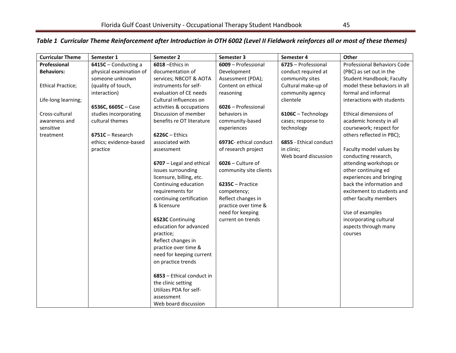# *Table 1 Curricular Theme Reinforcement after Introduction in OTH 6002 (Level II Fieldwork reinforces all or most of these themes)*

| <b>Curricular Theme</b>  | Semester 1              | Semester 2                | Semester 3             | Semester 4             | Other                            |
|--------------------------|-------------------------|---------------------------|------------------------|------------------------|----------------------------------|
| Professional             | 6415C - Conducting a    | 6018 - Ethics in          | 6009 - Professional    | 6725 - Professional    | Professional Behaviors Code      |
| <b>Behaviors:</b>        | physical examination of | documentation of          | Development            | conduct required at    | (PBC) as set out in the          |
|                          | someone unknown         | services; NBCOT & AOTA    | Assessment (PDA);      | community sites        | <b>Student Handbook; Faculty</b> |
| <b>Ethical Practice;</b> | (quality of touch,      | instruments for self-     | Content on ethical     | Cultural make-up of    | model these behaviors in all     |
|                          | interaction)            | evaluation of CE needs    | reasoning              | community agency       | formal and informal              |
| Life-long learning;      |                         | Cultural influences on    |                        | clientele              | interactions with students       |
|                          | 6536C, 6605C - Case     | activities & occupations  | 6026 - Professional    |                        |                                  |
| Cross-cultural           | studies incorporating   | Discussion of member      | behaviors in           | 6106C - Technology     | Ethical dimensions of            |
| awareness and            | cultural themes         | benefits re OT literature | community-based        | cases; response to     | academic honesty in all          |
| sensitive                |                         |                           | experiences            | technology             | coursework; respect for          |
| treatment                | 6751C - Research        | $6226C -$ Ethics          |                        |                        | others reflected in PBC);        |
|                          | ethics; evidence-based  | associated with           | 6973C- ethical conduct | 6855 - Ethical conduct |                                  |
|                          | practice                | assessment                | of research project    | in clinic;             | Faculty model values by          |
|                          |                         |                           |                        | Web board discussion   | conducting research,             |
|                          |                         | 6707 - Legal and ethical  | $6026$ – Culture of    |                        | attending workshops or           |
|                          |                         | issues surrounding        | community site clients |                        | other continuing ed              |
|                          |                         | licensure, billing, etc.  |                        |                        | experiences and bringing         |
|                          |                         | Continuing education      | 6235C - Practice       |                        | back the information and         |
|                          |                         | requirements for          | competency;            |                        | excitement to students and       |
|                          |                         | continuing certification  | Reflect changes in     |                        | other faculty members            |
|                          |                         | & licensure               | practice over time &   |                        |                                  |
|                          |                         |                           | need for keeping       |                        | Use of examples                  |
|                          |                         | 6523C Continuing          | current on trends      |                        | incorporating cultural           |
|                          |                         | education for advanced    |                        |                        | aspects through many             |
|                          |                         | practice;                 |                        |                        | courses                          |
|                          |                         | Reflect changes in        |                        |                        |                                  |
|                          |                         | practice over time &      |                        |                        |                                  |
|                          |                         | need for keeping current  |                        |                        |                                  |
|                          |                         | on practice trends        |                        |                        |                                  |
|                          |                         |                           |                        |                        |                                  |
|                          |                         | 6853 - Ethical conduct in |                        |                        |                                  |
|                          |                         | the clinic setting        |                        |                        |                                  |
|                          |                         | Utilizes PDA for self-    |                        |                        |                                  |
|                          |                         | assessment                |                        |                        |                                  |
|                          |                         | Web board discussion      |                        |                        |                                  |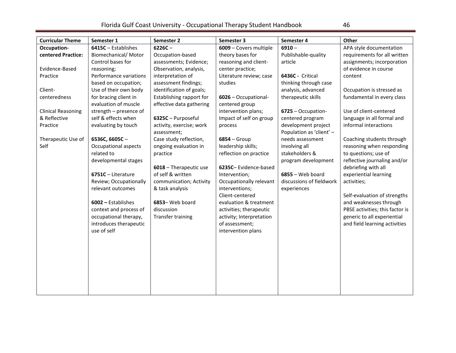| I<br>I<br>×<br>٩ |
|------------------|
|------------------|

| <b>Curricular Theme</b>   | Semester 1             | Semester 2                              | Semester 3               | Semester 4                                      | Other                           |
|---------------------------|------------------------|-----------------------------------------|--------------------------|-------------------------------------------------|---------------------------------|
| Occupation-               | 6415C - Establishes    | $6226C -$                               | 6009 - Covers multiple   | $6910 -$                                        | APA style documentation         |
| centered Practice:        | Biomechanical/ Motor   | Occupation-based                        | theory bases for         | Publishable-quality                             | requirements for all written    |
|                           | Control bases for      | assessments; Evidence;                  | reasoning and client-    | article                                         | assignments; incorporation      |
| Evidence-Based            | reasoning;             | Observation, analysis,                  | center practice;         |                                                 | of evidence in course           |
| Practice                  | Performance variations | interpretation of                       | Literature review; case  | 6436C - Critical                                | content                         |
|                           | based on occupation;   | assessment findings;                    | studies                  | thinking through case                           |                                 |
| Client-                   | Use of their own body  | identification of goals;                |                          | analysis, advanced                              | Occupation is stressed as       |
| centeredness              | for bracing client in  | Establishing rapport for                | 6026 - Occupational-     | therapeutic skills                              | fundamental in every class      |
|                           | evaluation of muscle   | effective data gathering                | centered group           |                                                 |                                 |
| <b>Clinical Reasoning</b> | strength - presence of |                                         | intervention plans;      | 6725 - Occupation-                              | Use of client-centered          |
| & Reflective              | self & effects when    | 6325C - Purposeful                      | Impact of self on group  | centered program                                | language in all formal and      |
| Practice                  | evaluating by touch    | activity, exercise; work<br>assessment; | process                  | development project<br>Population as 'client' - | informal interactions           |
| Therapeutic Use of        | 6536C, 6605C-          | Case study reflection,                  | $6854 - Group$           | needs assessment                                | Coaching students through       |
| Self                      | Occupational aspects   | ongoing evaluation in                   | leadership skills;       | involving all                                   | reasoning when responding       |
|                           | related to             | practice                                | reflection on practice   | stakeholders &                                  | to questions; use of            |
|                           | developmental stages   |                                         |                          | program development                             | reflective journaling and/or    |
|                           |                        | 6018 - Therapeutic use                  | 6235C-Evidence-based     |                                                 | debriefing with all             |
|                           | 6751C - Literature     | of self & written                       | Intervention;            | $6855 -$ Web board                              | experiential learning           |
|                           | Review; Occupationally | communication; Activity                 | Occupationally relevant  | discussions of fieldwork                        | activities;                     |
|                           | relevant outcomes      | & task analysis                         | interventions;           | experiences                                     |                                 |
|                           |                        |                                         | Client-centered          |                                                 | Self-evaluation of strengths    |
|                           | 6002 - Establishes     | 6853-Web board                          | evaluation & treatment   |                                                 | and weaknesses through          |
|                           | context and process of | discussion                              | activities; therapeutic  |                                                 | PBSE activities; this factor is |
|                           | occupational therapy,  | <b>Transfer training</b>                | activity; Interpretation |                                                 | generic to all experiential     |
|                           | introduces therapeutic |                                         | of assessment;           |                                                 | and field learning activities   |
|                           | use of self            |                                         | intervention plans       |                                                 |                                 |
|                           |                        |                                         |                          |                                                 |                                 |
|                           |                        |                                         |                          |                                                 |                                 |
|                           |                        |                                         |                          |                                                 |                                 |
|                           |                        |                                         |                          |                                                 |                                 |
|                           |                        |                                         |                          |                                                 |                                 |
|                           |                        |                                         |                          |                                                 |                                 |
|                           |                        |                                         |                          |                                                 |                                 |
|                           |                        |                                         |                          |                                                 |                                 |
|                           |                        |                                         |                          |                                                 |                                 |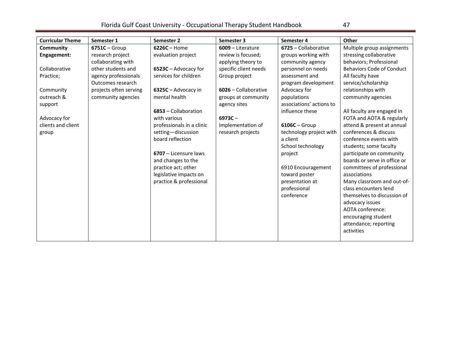# Florida Gulf Coast University - Occupational Therapy Student Handbook 47

| <b>Curricular Theme</b> | Semester 1             | Semester 2                | Semester 3            | Semester 4               | Other                            |
|-------------------------|------------------------|---------------------------|-----------------------|--------------------------|----------------------------------|
| Community               | $6751C - Group$        | $6226C -$ Home            | $6009 -$ Literature   | 6725 - Collaborative     | Multiple group assignments       |
| Engagement:             | research project       | evaluation project        | review is focused;    | groups working with      | stressing collaborative          |
|                         | collaborating with     |                           | applying theory to    | community agency         | behaviors; Professional          |
| Collaborative           | other students and     | 6523C - Advocacy for      | specific client needs | personnel on needs       | <b>Behaviors Code of Conduct</b> |
| Practice;               | agency professionals   | services for children     | Group project         | assessment and           | All faculty have                 |
|                         | Outcomes research      |                           |                       | program development      | service/scholarship              |
| Community               | projects often serving | 6325C - Advocacy in       | 6026 - Collaborative  | Advocacy for             | relationships with               |
| outreach &              | community agencies     | mental health             | groups at community   | populations              | community agencies               |
| support                 |                        |                           | agency sites          | associations' actions to |                                  |
|                         |                        | 6853 - Collaboration      |                       | influence these          | All faculty are engaged in       |
| Advocacy for            |                        | with various              | $6973C -$             |                          | FOTA and AOTA & regularly        |
| clients and client      |                        | professionals in a clinic | Implementation of     | $6106C - Group$          | attend & present at annual       |
| group                   |                        | setting-discussion        | research projects     | technology project with  | conferences & discuss            |
|                         |                        | board reflection          |                       | a client                 | conference events with           |
|                         |                        |                           |                       | School technology        | students; some faculty           |
|                         |                        | 6707 - Licensure laws     |                       | project                  | participate on community         |
|                         |                        | and changes to the        |                       |                          | boards or serve in office or     |
|                         |                        | practice act; other       |                       | 6910 Encouragement       | committees of professional       |
|                         |                        | legislative impacts on    |                       | toward poster            | associations                     |
|                         |                        | practice & professional   |                       | presentation at          | Many classroom and out-of-       |
|                         |                        |                           |                       | professional             | class encounters lend            |
|                         |                        |                           |                       | conference               | themselves to discussion of      |
|                         |                        |                           |                       |                          | advocacy issues                  |
|                         |                        |                           |                       |                          | AOTA conference:                 |
|                         |                        |                           |                       |                          | encouraging student              |
|                         |                        |                           |                       |                          | attendance; reporting            |
|                         |                        |                           |                       |                          | activities                       |
|                         |                        |                           |                       |                          |                                  |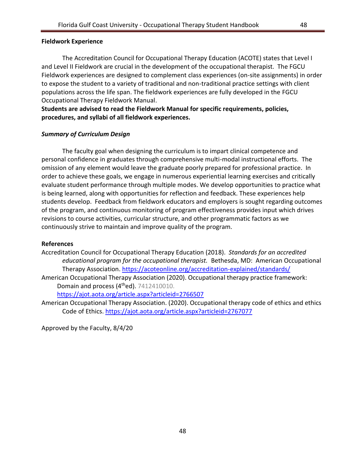## **Fieldwork Experience**

The Accreditation Council for Occupational Therapy Education (ACOTE) states that Level I and Level II Fieldwork are crucial in the development of the occupational therapist. The FGCU Fieldwork experiences are designed to complement class experiences (on-site assignments) in order to expose the student to a variety of traditional and non-traditional practice settings with client populations across the life span. The fieldwork experiences are fully developed in the FGCU Occupational Therapy Fieldwork Manual.

**Students are advised to read the Fieldwork Manual for specific requirements, policies, procedures, and syllabi of all fieldwork experiences.**

## *Summary of Curriculum Design*

The faculty goal when designing the curriculum is to impart clinical competence and personal confidence in graduates through comprehensive multi-modal instructional efforts. The omission of any element would leave the graduate poorly prepared for professional practice. In order to achieve these goals, we engage in numerous experiential learning exercises and critically evaluate student performance through multiple modes. We develop opportunities to practice what is being learned, along with opportunities for reflection and feedback. These experiences help students develop. Feedback from fieldwork educators and employers is sought regarding outcomes of the program, and continuous monitoring of program effectiveness provides input which drives revisions to course activities, curricular structure, and other programmatic factors as we continuously strive to maintain and improve quality of the program.

## **References**

Accreditation Council for Occupational Therapy Education (2018). *Standards for an accredited educational program for the occupational therapist.* Bethesda, MD: American Occupational Therapy Association. <https://acoteonline.org/accreditation-explained/standards/>

American Occupational Therapy Association (2020). Occupational therapy practice framework: Domain and process (4<sup>th</sup>ed). 7412410010.

<https://ajot.aota.org/article.aspx?articleid=2766507>

American Occupational Therapy Association. (2020). Occupational therapy code of ethics and ethics Code of Ethics.<https://ajot.aota.org/article.aspx?articleid=2767077>

Approved by the Faculty, 8/4/20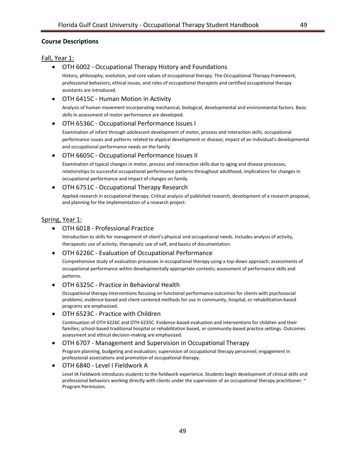## <span id="page-48-0"></span>**Course Descriptions**

#### Fall, Year 1:

• OTH 6002 - Occupational Therapy History and Foundations

History, philosophy, evolution, and core values of occupational therapy. The Occupational Therapy Framework, professional behaviors, ethical issues, and roles of occupational therapists and certified occupational therapy assistants are introduced.

• OTH 6415C - Human Motion in Activity

Analysis of human movement incorporating mechanical, biological, developmental and environmental factors. Basic skills in assessment of motor performance are developed.

#### • OTH 6536C - Occupational Performance Issues I

Examination of infant through adolescent development of motor, process and interaction skills; occupational performance issues and patterns related to atypical development or disease; impact of an individual's developmental and occupational performance needs on the family.

• OTH 6605C - Occupational Performance Issues II

Examination of typical changes in motor, process and interaction skills due to aging and disease processes, relationships to successful occupational performance patterns throughout adulthood, implications for changes in occupational performance and impact of changes on family.

#### • OTH 6751C - Occupational Therapy Research

Applied research in occupational therapy. Critical analysis of published research, development of a research proposal, and planning for the implementation of a research project.

#### Spring, Year 1:

## • OTH 6018 - Professional Practice

Introduction to skills for management of client's physical and occupational needs. Includes analysis of activity, therapeutic use of activity, therapeutic use of self, and basics of documentation.

#### • OTH 6226C - Evaluation of Occupational Performance

Comprehensive study of evaluation processes in occupational therapy using a top-down approach; assessments of occupational performance within developmentally appropriate contexts; assessment of performance skills and patterns.

#### • OTH 6325C - Practice in Behavioral Health

Occupational therapy interventions focusing on functional performance outcomes for clients with psychosocial problems; evidence-based and client-centered methods for use in community, hospital, or rehabilitation-based programs are emphasized.

#### • OTH 6523C - Practice with Children

Continuation of OTH 6226C and OTH 6235C. Evidence-based evaluation and interventions for children and their families; school-based traditional hospital or rehabilitation based, or community-based practice settings. Outcomes assessment and ethical decision-making are emphasized.

#### • OTH 6707 - Management and Supervision in Occupational Therapy

Program planning, budgeting and evaluation; supervision of occupational therapy personnel; engagement in professional associations and promotion of occupational therapy.

#### • OTH 6840 - Level I Fieldwork A

Level IA Fieldwork introduces students to the fieldwork experience. Students begin development of clinical skills and professional behaviors working directly with clients under the supervision of an occupational therapy practitioner. ~ Program Permission.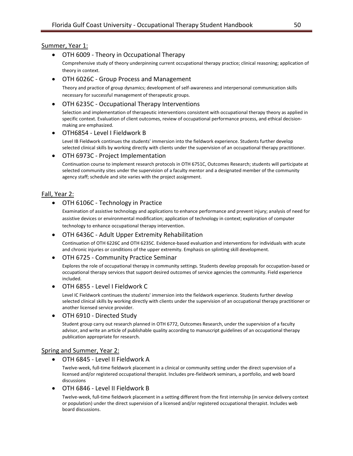#### Summer, Year 1:

#### • OTH 6009 - Theory in Occupational Therapy

Comprehensive study of theory underpinning current occupational therapy practice; clinical reasoning; application of theory in context.

#### • OTH 6026C - Group Process and Management

Theory and practice of group dynamics; development of self-awareness and interpersonal communication skills necessary for successful management of therapeutic groups.

#### • OTH 6235C - Occupational Therapy Interventions

Selection and implementation of therapeutic interventions consistent with occupational therapy theory as applied in specific context. Evaluation of client outcomes, review of occupational performance process, and ethical decisionmaking are emphasized.

#### • OTH6854 - Level I Fieldwork B

Level IB Fieldwork continues the students' immersion into the fieldwork experience. Students further develop selected clinical skills by working directly with clients under the supervision of an occupational therapy practitioner.

#### • OTH 6973C - Project Implementation

Continuation course to implement research protocols in OTH 6751C, Outcomes Research; students will participate at selected community sites under the supervision of a faculty mentor and a designated member of the community agency staff; schedule and site varies with the project assignment.

#### Fall, Year 2:

#### • OTH 6106C - Technology in Practice

Examination of assistive technology and applications to enhance performance and prevent injury; analysis of need for assistive devices or environmental modification; application of technology in context; exploration of computer technology to enhance occupational therapy intervention.

#### • OTH 6436C - Adult Upper Extremity Rehabilitation

Continuation of OTH 6226C and OTH 6235C. Evidence-based evaluation and interventions for individuals with acute and chronic injuries or conditions of the upper extremity. Emphasis on splinting skill development.

#### • OTH 6725 - Community Practice Seminar

Explores the role of occupational therapy in community settings. Students develop proposals for occupation-based or occupational therapy services that support desired outcomes of service agencies the community. Field experience included.

#### • OTH 6855 - Level I Fieldwork C

Level IC Fieldwork continues the students' immersion into the fieldwork experience. Students further develop selected clinical skills by working directly with clients under the supervision of an occupational therapy practitioner or another licensed service provider.

#### • OTH 6910 - Directed Study

Student group carry out research planned in OTH 6772, Outcomes Research, under the supervision of a faculty advisor, and write an article of publishable quality according to manuscript guidelines of an occupational therapy publication appropriate for research.

#### Spring and Summer, Year 2:

• OTH 6845 - Level II Fieldwork A

Twelve-week, full-time fieldwork placement in a clinical or community setting under the direct supervision of a licensed and/or registered occupational therapist. Includes pre-fieldwork seminars, a portfolio, and web board discussions

#### • OTH 6846 - Level II Fieldwork B

Twelve-week, full-time fieldwork placement in a setting different from the first internship (in service delivery context or population) under the direct supervision of a licensed and/or registered occupational therapist. Includes web board discussions.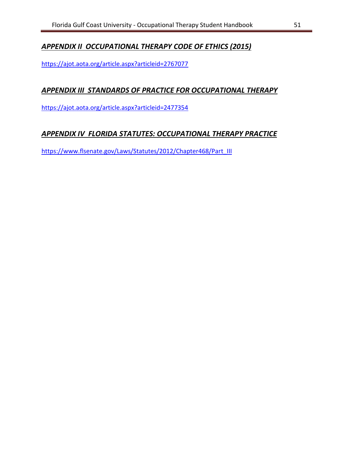# <span id="page-50-0"></span>*APPENDIX II OCCUPATIONAL THERAPY CODE OF ETHICS (2015)*

<https://ajot.aota.org/article.aspx?articleid=2767077>

# <span id="page-50-1"></span>*APPENDIX III STANDARDS OF PRACTICE FOR OCCUPATIONAL THERAPY*

<https://ajot.aota.org/article.aspx?articleid=2477354>

# <span id="page-50-2"></span>*APPENDIX IV FLORIDA STATUTES: OCCUPATIONAL THERAPY PRACTICE*

<span id="page-50-3"></span>[https://www.flsenate.gov/Laws/Statutes/2012/Chapter468/Part\\_III](https://www.flsenate.gov/Laws/Statutes/2012/Chapter468/Part_III)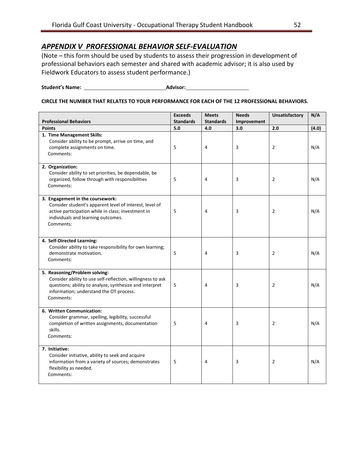# <span id="page-51-0"></span>*APPENDIX V PROFESSIONAL BEHAVIOR SELF-EVALUATION*

(Note – this form should be used by students to assess their progression in development of professional behaviors each semester and shared with academic advisor; it is also used by Fieldwork Educators to assess student performance.)

**Student's Name: Advisor:**

#### **CIRCLE THE NUMBER THAT RELATES TO YOUR PERFORMANCE FOR EACH OF THE 12 PROFESSIONAL BEHAVIORS.**

| <b>Professional Behaviors</b>                                                                                                                                                                                   | <b>Exceeds</b><br><b>Standards</b> | <b>Meets</b><br><b>Standards</b> | <b>Needs</b><br>Improvement | <b>Unsatisfactory</b> | N/A   |
|-----------------------------------------------------------------------------------------------------------------------------------------------------------------------------------------------------------------|------------------------------------|----------------------------------|-----------------------------|-----------------------|-------|
| <b>Points</b>                                                                                                                                                                                                   | 5.0                                | 4.0                              | 3.0                         | 2.0                   | (4.0) |
| 1. Time Management Skills:<br>Consider ability to be prompt, arrive on time, and<br>complete assignments on time.<br>Comments:                                                                                  | 5                                  | 4                                | 3                           | 2                     | N/A   |
| 2. Organization:<br>Consider ability to set priorities, be dependable, be<br>organized, follow through with responsibilities<br>Comments:                                                                       | 5                                  | 4                                | 3                           | 2                     | N/A   |
| 3. Engagement in the coursework:<br>Consider student's apparent level of interest, level of<br>active participation while in class; investment in<br>individuals and learning outcomes.<br>Comments:            | 5                                  | 4                                | 3                           | 2                     | N/A   |
| 4. Self-Directed Learning:<br>Consider ability to take responsibility for own learning;<br>demonstrate motivation.<br>Comments:                                                                                 | 5                                  | 4                                | 3                           | 2                     | N/A   |
| 5. Reasoning/Problem solving:<br>Consider ability to use self-reflection, willingness to ask<br>questions; ability to analyze, synthesize and interpret<br>information; understand the OT process.<br>Comments: | 5                                  | $\overline{4}$                   | 3                           | 2                     | N/A   |
| 6. Written Communication:<br>Consider grammar, spelling, legibility, successful<br>completion of written assignments, documentation<br>skills.<br>Comments:                                                     | 5                                  | 4                                | 3                           | $\overline{2}$        | N/A   |
| 7. Initiative:<br>Consider initiative, ability to seek and acquire<br>information from a variety of sources; demonstrates<br>flexibility as needed.<br>Comments:                                                | 5                                  | 4                                | 3                           | $\overline{2}$        | N/A   |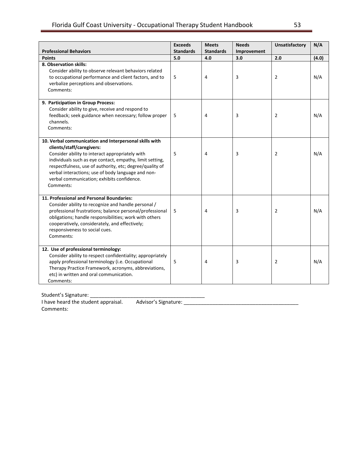|                                                                                                                                                                                                                                                                                                                                                                                 | <b>Exceeds</b>   | <b>Meets</b>     | <b>Needs</b> | <b>Unsatisfactory</b> | N/A   |
|---------------------------------------------------------------------------------------------------------------------------------------------------------------------------------------------------------------------------------------------------------------------------------------------------------------------------------------------------------------------------------|------------------|------------------|--------------|-----------------------|-------|
| <b>Professional Behaviors</b>                                                                                                                                                                                                                                                                                                                                                   | <b>Standards</b> | <b>Standards</b> | Improvement  |                       |       |
| <b>Points</b>                                                                                                                                                                                                                                                                                                                                                                   | 5.0              | 4.0              | 3.0          | 2.0                   | (4.0) |
| 8. Observation skills:<br>Consider ability to observe relevant behaviors related<br>to occupational performance and client factors, and to<br>verbalize perceptions and observations.<br>Comments:                                                                                                                                                                              | 5                | 4                | 3            | 2                     | N/A   |
| 9. Participation in Group Process:<br>Consider ability to give, receive and respond to<br>feedback; seek guidance when necessary; follow proper<br>channels.<br>Comments:                                                                                                                                                                                                       | 5                | 4                | 3            | 2                     | N/A   |
| 10. Verbal communication and Interpersonal skills with<br>clients/staff/caregivers:<br>Consider ability to interact appropriately with<br>individuals such as eye contact, empathy, limit setting,<br>respectfulness, use of authority, etc; degree/quality of<br>verbal interactions; use of body language and non-<br>verbal communication; exhibits confidence.<br>Comments: | 5                | 4                | 3            | $\overline{2}$        | N/A   |
| 11. Professional and Personal Boundaries:<br>Consider ability to recognize and handle personal /<br>professional frustrations; balance personal/professional<br>obligations; handle responsibilities; work with others<br>cooperatively, considerately, and effectively;<br>responsiveness to social cues.<br>Comments:                                                         | 5                | 4                | 3            | 2                     | N/A   |
| 12. Use of professional terminology:<br>Consider ability to respect confidentiality; appropriately<br>apply professional terminology (i.e. Occupational<br>Therapy Practice Framework, acronyms, abbreviations,<br>etc) in written and oral communication.<br>Comments:                                                                                                         | 5                | 4                | 3            | 2                     | N/A   |

Student's Signature: \_\_\_\_\_\_\_\_\_\_\_\_\_\_\_\_\_\_\_\_\_\_\_\_\_\_\_\_\_\_\_\_\_\_\_\_\_\_\_\_ I have heard the student appraisal.

Comments: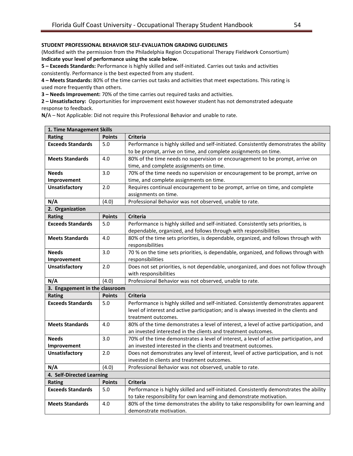#### **STUDENT PROFESSIONAL BEHAVIOR SELF-EVALUATION GRADING GUIDELINES**

(Modified with the permission from the Philadelphia Region Occupational Therapy Fieldwork Consortium) **Indicate your level of performance using the scale below.** 

**5 – Exceeds Standards:** Performance is highly skilled and self-initiated. Carries out tasks and activities consistently. Performance is the best expected from any student.

**4 – Meets Standards:** 80% of the time carries out tasks and activities that meet expectations. This rating is used more frequently than others.

**3 – Needs Improvement:** 70% of the time carries out required tasks and activities.

**2 – Unsatisfactory:** Opportunities for improvement exist however student has not demonstrated adequate response to feedback.

**N/**A – Not Applicable: Did not require this Professional Behavior and unable to rate.

| 1. Time Management Skills      |               |                                                                                         |
|--------------------------------|---------------|-----------------------------------------------------------------------------------------|
| <b>Rating</b>                  | <b>Points</b> | <b>Criteria</b>                                                                         |
| <b>Exceeds Standards</b>       | 5.0           | Performance is highly skilled and self-initiated. Consistently demonstrates the ability |
|                                |               | to be prompt, arrive on time, and complete assignments on time.                         |
| <b>Meets Standards</b>         | 4.0           | 80% of the time needs no supervision or encouragement to be prompt, arrive on           |
|                                |               | time, and complete assignments on time.                                                 |
| <b>Needs</b>                   | 3.0           | 70% of the time needs no supervision or encouragement to be prompt, arrive on           |
| Improvement                    |               | time, and complete assignments on time.                                                 |
| <b>Unsatisfactory</b>          | 2.0           | Requires continual encouragement to be prompt, arrive on time, and complete             |
|                                |               | assignments on time.                                                                    |
| N/A                            | (4.0)         | Professional Behavior was not observed, unable to rate.                                 |
| 2. Organization                |               |                                                                                         |
| Rating                         | <b>Points</b> | <b>Criteria</b>                                                                         |
| <b>Exceeds Standards</b>       | 5.0           | Performance is highly skilled and self-initiated. Consistently sets priorities, is      |
|                                |               | dependable, organized, and follows through with responsibilities                        |
| <b>Meets Standards</b>         | 4.0           | 80% of the time sets priorities, is dependable, organized, and follows through with     |
|                                |               | responsibilities                                                                        |
| <b>Needs</b>                   | 3.0           | 70 % on the time sets priorities, is dependable, organized, and follows through with    |
| Improvement                    |               | responsibilities                                                                        |
| <b>Unsatisfactory</b>          | 2.0           | Does not set priorities, is not dependable, unorganized, and does not follow through    |
|                                |               | with responsibilities                                                                   |
| N/A                            | (4.0)         | Professional Behavior was not observed, unable to rate.                                 |
| 3. Engagement in the classroom |               |                                                                                         |
| Rating                         | <b>Points</b> | <b>Criteria</b>                                                                         |
| <b>Exceeds Standards</b>       | 5.0           | Performance is highly skilled and self-initiated. Consistently demonstrates apparent    |
|                                |               | level of interest and active participation; and is always invested in the clients and   |
|                                |               | treatment outcomes.                                                                     |
| <b>Meets Standards</b>         | 4.0           | 80% of the time demonstrates a level of interest, a level of active participation, and  |
|                                |               | an invested interested in the clients and treatment outcomes.                           |
| <b>Needs</b>                   | 3.0           | 70% of the time demonstrates a level of interest, a level of active participation, and  |
| Improvement                    |               | an invested interested in the clients and treatment outcomes.                           |
| <b>Unsatisfactory</b>          | 2.0           | Does not demonstrates any level of interest, level of active participation, and is not  |
|                                |               | invested in clients and treatment outcomes.                                             |
| N/A                            | (4.0)         | Professional Behavior was not observed, unable to rate.                                 |
| 4. Self-Directed Learning      |               |                                                                                         |
| Rating                         | <b>Points</b> | <b>Criteria</b>                                                                         |
| <b>Exceeds Standards</b>       | 5.0           | Performance is highly skilled and self-initiated. Consistently demonstrates the ability |
|                                |               | to take responsibility for own learning and demonstrate motivation.                     |
| <b>Meets Standards</b>         | 4.0           | 80% of the time demonstrates the ability to take responsibility for own learning and    |
|                                |               | demonstrate motivation.                                                                 |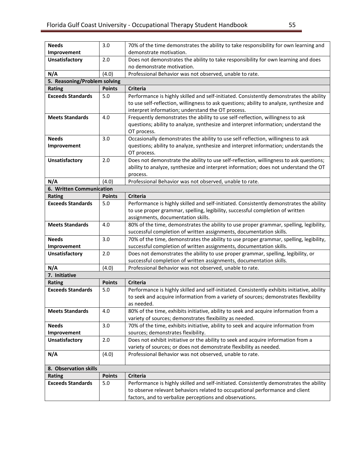| <b>Needs</b>                 | 3.0           | 70% of the time demonstrates the ability to take responsibility for own learning and                                |  |  |
|------------------------------|---------------|---------------------------------------------------------------------------------------------------------------------|--|--|
| Improvement                  |               | demonstrate motivation.                                                                                             |  |  |
| <b>Unsatisfactory</b>        | 2.0           | Does not demonstrates the ability to take responsibility for own learning and does                                  |  |  |
|                              |               | no demonstrate motivation.                                                                                          |  |  |
| N/A                          | (4.0)         | Professional Behavior was not observed, unable to rate.                                                             |  |  |
| 5. Reasoning/Problem solving |               |                                                                                                                     |  |  |
| Rating                       | <b>Points</b> | <b>Criteria</b>                                                                                                     |  |  |
| <b>Exceeds Standards</b>     | 5.0           | Performance is highly skilled and self-initiated. Consistently demonstrates the ability                             |  |  |
|                              |               | to use self-reflection, willingness to ask questions; ability to analyze, synthesize and                            |  |  |
|                              |               | interpret information; understand the OT process.                                                                   |  |  |
| <b>Meets Standards</b>       | 4.0           | Frequently demonstrates the ability to use self-reflection, willingness to ask                                      |  |  |
|                              |               | questions; ability to analyze, synthesize and interpret information; understand the                                 |  |  |
|                              |               | OT process.                                                                                                         |  |  |
| <b>Needs</b>                 | 3.0           | Occasionally demonstrates the ability to use self-reflection, willingness to ask                                    |  |  |
| Improvement                  |               | questions; ability to analyze, synthesize and interpret information; understands the                                |  |  |
|                              |               | OT process.                                                                                                         |  |  |
| <b>Unsatisfactory</b>        | 2.0           | Does not demonstrate the ability to use self-reflection, willingness to ask questions;                              |  |  |
|                              |               | ability to analyze, synthesize and interpret information; does not understand the OT                                |  |  |
|                              |               | process.                                                                                                            |  |  |
| N/A                          | (4.0)         | Professional Behavior was not observed, unable to rate.                                                             |  |  |
| 6. Written Communication     |               |                                                                                                                     |  |  |
| <b>Rating</b>                | <b>Points</b> | <b>Criteria</b>                                                                                                     |  |  |
| <b>Exceeds Standards</b>     | 5.0           | Performance is highly skilled and self-initiated. Consistently demonstrates the ability                             |  |  |
|                              |               | to use proper grammar, spelling, legibility, successful completion of written<br>assignments, documentation skills. |  |  |
| <b>Meets Standards</b>       | 4.0           | 80% of the time, demonstrates the ability to use proper grammar, spelling, legibility,                              |  |  |
|                              |               | successful completion of written assignments, documentation skills.                                                 |  |  |
| <b>Needs</b>                 | 3.0           | 70% of the time, demonstrates the ability to use proper grammar, spelling, legibility,                              |  |  |
| Improvement                  |               | successful completion of written assignments, documentation skills.                                                 |  |  |
| <b>Unsatisfactory</b>        | 2.0           | Does not demonstrates the ability to use proper grammar, spelling, legibility, or                                   |  |  |
|                              |               | successful completion of written assignments, documentation skills.                                                 |  |  |
| N/A                          | (4.0)         | Professional Behavior was not observed, unable to rate.                                                             |  |  |
| 7. Initiative                |               |                                                                                                                     |  |  |
| <b>Rating</b>                | <b>Points</b> | <b>Criteria</b>                                                                                                     |  |  |
| <b>Exceeds Standards</b>     | 5.0           | Performance is highly skilled and self-initiated. Consistently exhibits initiative, ability                         |  |  |
|                              |               | to seek and acquire information from a variety of sources; demonstrates flexibility                                 |  |  |
|                              |               | as needed.                                                                                                          |  |  |
| <b>Meets Standards</b>       | 4.0           | 80% of the time, exhibits initiative, ability to seek and acquire information from a                                |  |  |
|                              |               | variety of sources; demonstrates flexibility as needed.                                                             |  |  |
| <b>Needs</b>                 | 3.0           | 70% of the time, exhibits initiative, ability to seek and acquire information from                                  |  |  |
| Improvement                  |               | sources; demonstrates flexibility.                                                                                  |  |  |
| Unsatisfactory               | 2.0           | Does not exhibit initiative or the ability to seek and acquire information from a                                   |  |  |
|                              |               | variety of sources; or does not demonstrate flexibility as needed.                                                  |  |  |
| N/A                          | (4.0)         | Professional Behavior was not observed, unable to rate.                                                             |  |  |
| 8. Observation skills        |               |                                                                                                                     |  |  |
| Rating                       | <b>Points</b> | Criteria                                                                                                            |  |  |
| <b>Exceeds Standards</b>     | 5.0           | Performance is highly skilled and self-initiated. Consistently demonstrates the ability                             |  |  |
|                              |               | to observe relevant behaviors related to occupational performance and client                                        |  |  |
|                              |               | factors, and to verbalize perceptions and observations.                                                             |  |  |
|                              |               |                                                                                                                     |  |  |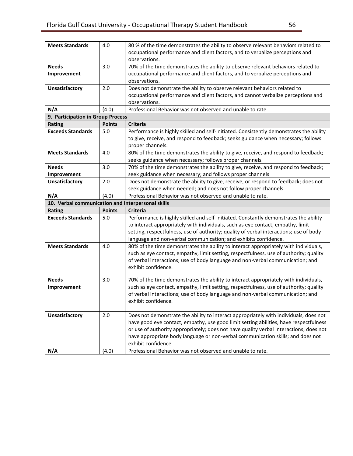| <b>Meets Standards</b>                            | 4.0           | 80 % of the time demonstrates the ability to observe relevant behaviors related to                                                                                             |  |  |
|---------------------------------------------------|---------------|--------------------------------------------------------------------------------------------------------------------------------------------------------------------------------|--|--|
|                                                   |               | occupational performance and client factors, and to verbalize perceptions and                                                                                                  |  |  |
|                                                   |               | observations.                                                                                                                                                                  |  |  |
| <b>Needs</b>                                      | 3.0           | 70% of the time demonstrates the ability to observe relevant behaviors related to                                                                                              |  |  |
| Improvement                                       |               | occupational performance and client factors, and to verbalize perceptions and                                                                                                  |  |  |
|                                                   |               | observations.                                                                                                                                                                  |  |  |
| <b>Unsatisfactory</b>                             | 2.0           | Does not demonstrate the ability to observe relevant behaviors related to                                                                                                      |  |  |
|                                                   |               | occupational performance and client factors, and cannot verbalize perceptions and                                                                                              |  |  |
|                                                   |               | observations.                                                                                                                                                                  |  |  |
| N/A                                               | (4.0)         | Professional Behavior was not observed and unable to rate.                                                                                                                     |  |  |
| 9. Participation in Group Process                 |               |                                                                                                                                                                                |  |  |
| Rating                                            | <b>Points</b> | <b>Criteria</b>                                                                                                                                                                |  |  |
| <b>Exceeds Standards</b>                          | 5.0           | Performance is highly skilled and self-initiated. Consistently demonstrates the ability                                                                                        |  |  |
|                                                   |               | to give, receive, and respond to feedback; seeks guidance when necessary; follows                                                                                              |  |  |
|                                                   |               | proper channels.                                                                                                                                                               |  |  |
| <b>Meets Standards</b>                            | 4.0           | 80% of the time demonstrates the ability to give, receive, and respond to feedback;                                                                                            |  |  |
|                                                   |               | seeks guidance when necessary; follows proper channels.                                                                                                                        |  |  |
| <b>Needs</b>                                      | 3.0           | 70% of the time demonstrates the ability to give, receive, and respond to feedback;                                                                                            |  |  |
| Improvement                                       |               | seek guidance when necessary; and follows proper channels                                                                                                                      |  |  |
| <b>Unsatisfactory</b>                             | 2.0           | Does not demonstrate the ability to give, receive, or respond to feedback; does not                                                                                            |  |  |
|                                                   |               | seek guidance when needed; and does not follow proper channels                                                                                                                 |  |  |
| N/A                                               | (4.0)         | Professional Behavior was not observed and unable to rate.                                                                                                                     |  |  |
| 10. Verbal communication and Interpersonal skills |               |                                                                                                                                                                                |  |  |
|                                                   |               |                                                                                                                                                                                |  |  |
|                                                   | <b>Points</b> | <b>Criteria</b>                                                                                                                                                                |  |  |
| Rating<br><b>Exceeds Standards</b>                | 5.0           |                                                                                                                                                                                |  |  |
|                                                   |               | Performance is highly skilled and self-initiated. Constantly demonstrates the ability                                                                                          |  |  |
|                                                   |               | to interact appropriately with individuals, such as eye contact, empathy, limit                                                                                                |  |  |
|                                                   |               | setting, respectfulness, use of authority; quality of verbal interactions; use of body                                                                                         |  |  |
| <b>Meets Standards</b>                            | 4.0           | language and non-verbal communication; and exhibits confidence.                                                                                                                |  |  |
|                                                   |               | 80% of the time demonstrates the ability to interact appropriately with individuals,<br>such as eye contact, empathy, limit setting, respectfulness, use of authority; quality |  |  |
|                                                   |               | of verbal interactions; use of body language and non-verbal communication; and                                                                                                 |  |  |
|                                                   |               | exhibit confidence.                                                                                                                                                            |  |  |
|                                                   |               |                                                                                                                                                                                |  |  |
| <b>Needs</b>                                      | 3.0           | 70% of the time demonstrates the ability to interact appropriately with individuals,                                                                                           |  |  |
| Improvement                                       |               | such as eye contact, empathy, limit setting, respectfulness, use of authority; quality                                                                                         |  |  |
|                                                   |               | of verbal interactions; use of body language and non-verbal communication; and                                                                                                 |  |  |
|                                                   |               | exhibit confidence.                                                                                                                                                            |  |  |
|                                                   |               |                                                                                                                                                                                |  |  |
| <b>Unsatisfactory</b>                             | 2.0           | Does not demonstrate the ability to interact appropriately with individuals, does not                                                                                          |  |  |
|                                                   |               | have good eye contact, empathy, use good limit setting abilities, have respectfulness                                                                                          |  |  |
|                                                   |               | or use of authority appropriately; does not have quality verbal interactions; does not                                                                                         |  |  |
|                                                   |               | have appropriate body language or non-verbal communication skills; and does not                                                                                                |  |  |
| N/A                                               | (4.0)         | exhibit confidence.<br>Professional Behavior was not observed and unable to rate.                                                                                              |  |  |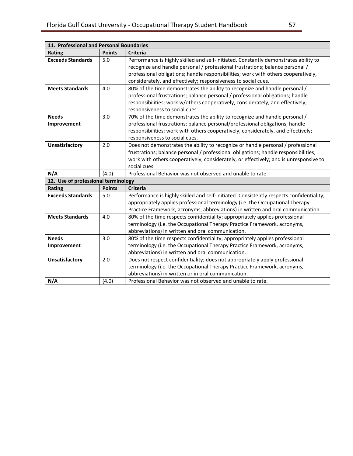<span id="page-56-0"></span>

| 11. Professional and Personal Boundaries |               |                                                                                                                                                                                                                                                                                                                               |  |  |
|------------------------------------------|---------------|-------------------------------------------------------------------------------------------------------------------------------------------------------------------------------------------------------------------------------------------------------------------------------------------------------------------------------|--|--|
| Rating                                   | <b>Points</b> | <b>Criteria</b>                                                                                                                                                                                                                                                                                                               |  |  |
| <b>Exceeds Standards</b>                 | 5.0           | Performance is highly skilled and self-initiated. Constantly demonstrates ability to<br>recognize and handle personal / professional frustrations; balance personal /<br>professional obligations; handle responsibilities; work with others cooperatively,<br>considerately, and effectively; responsiveness to social cues. |  |  |
| <b>Meets Standards</b>                   | 4.0           | 80% of the time demonstrates the ability to recognize and handle personal /<br>professional frustrations; balance personal / professional obligations; handle<br>responsibilities; work w/others cooperatively, considerately, and effectively;<br>responsiveness to social cues.                                             |  |  |
| <b>Needs</b><br>Improvement              | 3.0           | 70% of the time demonstrates the ability to recognize and handle personal /<br>professional frustrations; balance personal/professional obligations; handle<br>responsibilities; work with others cooperatively, considerately, and effectively;<br>responsiveness to social cues.                                            |  |  |
| <b>Unsatisfactory</b>                    | 2.0           | Does not demonstrates the ability to recognize or handle personal / professional<br>frustrations; balance personal / professional obligations; handle responsibilities;<br>work with others cooperatively, considerately, or effectively; and is unresponsive to<br>social cues.                                              |  |  |
| N/A                                      | (4.0)         | Professional Behavior was not observed and unable to rate.                                                                                                                                                                                                                                                                    |  |  |
| 12. Use of professional terminology      |               |                                                                                                                                                                                                                                                                                                                               |  |  |
| Rating                                   | <b>Points</b> | <b>Criteria</b>                                                                                                                                                                                                                                                                                                               |  |  |
| <b>Exceeds Standards</b>                 | 5.0           | Performance is highly skilled and self-initiated. Consistently respects confidentiality;<br>appropriately applies professional terminology (i.e. the Occupational Therapy<br>Practice Framework, acronyms, abbreviations) in written and oral communication.                                                                  |  |  |
| <b>Meets Standards</b>                   | 4.0           | 80% of the time respects confidentiality; appropriately applies professional<br>terminology (i.e. the Occupational Therapy Practice Framework, acronyms,<br>abbreviations) in written and oral communication.                                                                                                                 |  |  |
| <b>Needs</b><br>Improvement              | 3.0           | 80% of the time respects confidentiality; appropriately applies professional<br>terminology (i.e. the Occupational Therapy Practice Framework, acronyms,<br>abbreviations) in written and oral communication.                                                                                                                 |  |  |
| <b>Unsatisfactory</b>                    | 2.0           | Does not respect confidentiality; does not appropriately apply professional<br>terminology (i.e. the Occupational Therapy Practice Framework, acronyms,<br>abbreviations) in written or in oral communication.                                                                                                                |  |  |
| N/A                                      | (4.0)         | Professional Behavior was not observed and unable to rate.                                                                                                                                                                                                                                                                    |  |  |